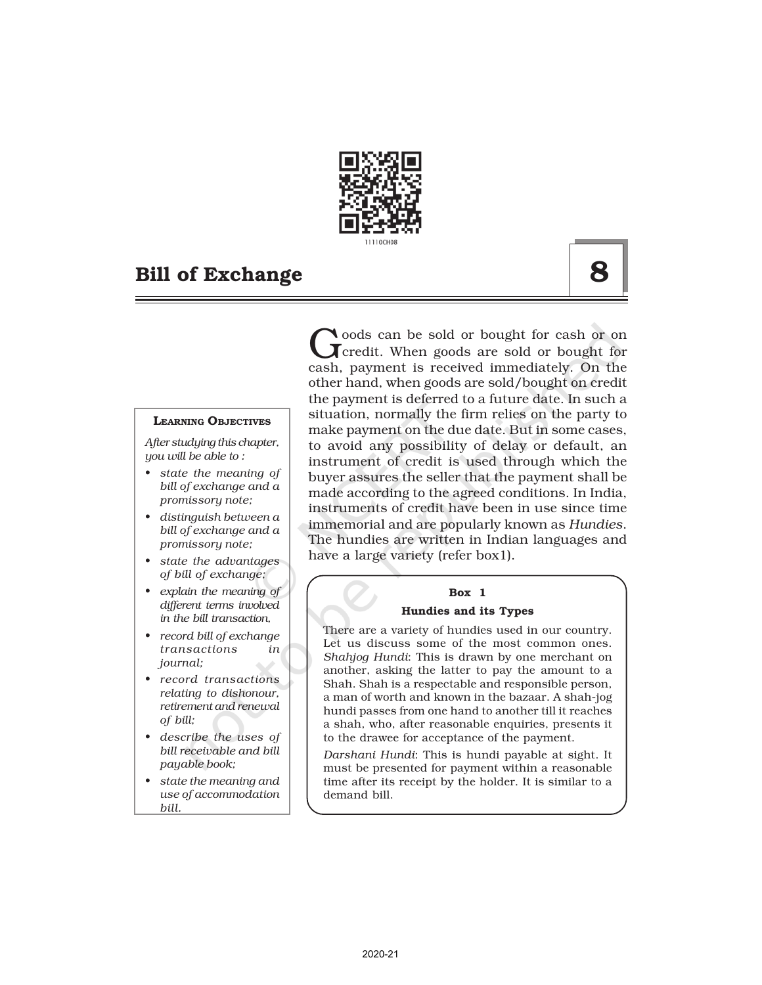

#### LEARNING OBJECTIVES

*After studying this chapter, you will be able to :*

- *• state the meaning of bill of exchange and a promissory note;*
- *• distinguish between a bill of exchange and a promissory note;*
- *• state the advantages of bill of exchange;*
- *• explain the meaning of different terms involved in the bill transaction,*
- *• record bill of exchange transactions in journal;*
- *• record transactions relating to dishonour, retirement and renewal of bill;*
- *• describe the uses of bill receivable and bill payable book;*
- *• state the meaning and use of accommodation bill.*

Goods can be sold or bought for cash or on<br>Greedit. When goods are sold or bought for<br>cash, payment is received immediately. On the oods can be sold or bought for cash or on  $\Gamma$  credit. When goods are sold or bought for other hand, when goods are sold/bought on credit the payment is deferred to a future date. In such a situation, normally the firm relies on the party to make payment on the due date. But in some cases, to avoid any possibility of delay or default, an instrument of credit is used through which the buyer assures the seller that the payment shall be made according to the agreed conditions. In India, instruments of credit have been in use since time immemorial and are popularly known as *Hundies*. The hundies are written in Indian languages and have a large variety (refer box1).

## Box 1

#### Hundies and its Types

There are a variety of hundies used in our country. Let us discuss some of the most common ones. *Shahjog Hundi*: This is drawn by one merchant on another, asking the latter to pay the amount to a Shah. Shah is a respectable and responsible person, a man of worth and known in the bazaar. A shah-jog hundi passes from one hand to another till it reaches a shah, who, after reasonable enquiries, presents it to the drawee for acceptance of the payment.

*Darshani Hundi*: This is hundi payable at sight. It must be presented for payment within a reasonable time after its receipt by the holder. It is similar to a demand bill.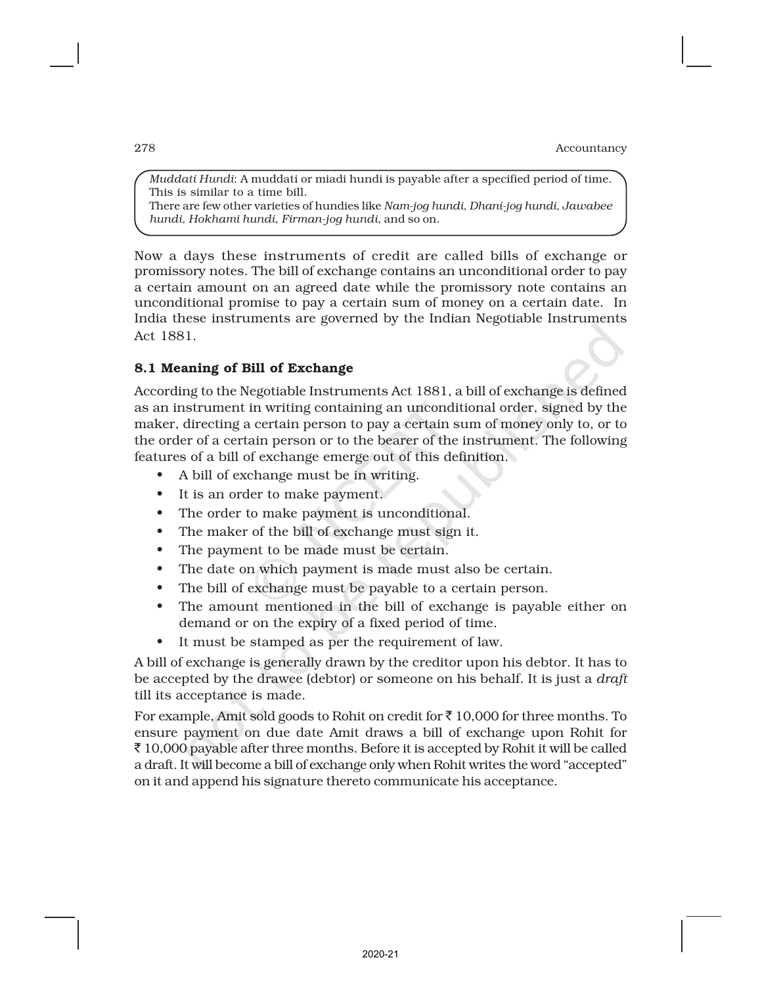*Muddati Hundi*: A muddati or miadi hundi is payable after a specified period of time. This is similar to a time bill. There are few other varieties of hundies like *Nam-jog hundi, Dhani-jog hundi, Jawabee hundi, Hokhami hundi, Firman-jog hundi*, and so on.

Now a days these instruments of credit are called bills of exchange or promissory notes. The bill of exchange contains an unconditional order to pay a certain amount on an agreed date while the promissory note contains an unconditional promise to pay a certain sum of money on a certain date. In India these instruments are governed by the Indian Negotiable Instruments Act 1881.

## 8.1 Meaning of Bill of Exchange

According to the Negotiable Instruments Act 1881, a bill of exchange is defined as an instrument in writing containing an unconditional order, signed by the maker, directing a certain person to pay a certain sum of money only to, or to the order of a certain person or to the bearer of the instrument. The following features of a bill of exchange emerge out of this definition.

- A bill of exchange must be in writing.
- It is an order to make payment.
- The order to make payment is unconditional.
- The maker of the bill of exchange must sign it.
- The payment to be made must be certain.
- The date on which payment is made must also be certain.
- The bill of exchange must be payable to a certain person.
- The amount mentioned in the bill of exchange is payable either on demand or on the expiry of a fixed period of time.
- It must be stamped as per the requirement of law.

A bill of exchange is generally drawn by the creditor upon his debtor. It has to be accepted by the drawee (debtor) or someone on his behalf. It is just a *draft* till its acceptance is made.

For example, Amit sold goods to Rohit on credit for  $\bar{\tau}$  10,000 for three months. To ensure payment on due date Amit draws a bill of exchange upon Rohit for  $\bar{\xi}$  10,000 payable after three months. Before it is accepted by Rohit it will be called a draft. It will become a bill of exchange only when Rohit writes the word "accepted" on it and append his signature thereto communicate his acceptance.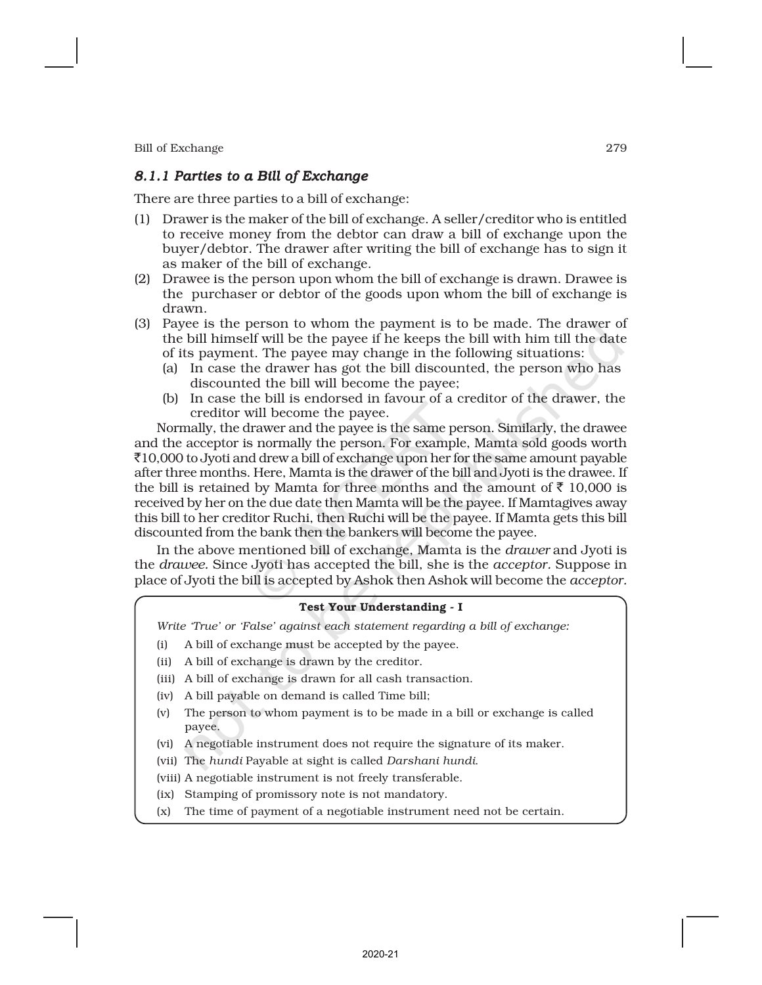## *8.1.1 Parties to a Bill of Exchange*

There are three parties to a bill of exchange:

- (1) Drawer is the maker of the bill of exchange. A seller/creditor who is entitled to receive money from the debtor can draw a bill of exchange upon the buyer/debtor. The drawer after writing the bill of exchange has to sign it as maker of the bill of exchange.
- (2) Drawee is the person upon whom the bill of exchange is drawn. Drawee is the purchaser or debtor of the goods upon whom the bill of exchange is drawn.
- (3) Payee is the person to whom the payment is to be made. The drawer of the bill himself will be the payee if he keeps the bill with him till the date of its payment. The payee may change in the following situations:
	- (a) In case the drawer has got the bill discounted, the person who has discounted the bill will become the payee;
	- (b) In case the bill is endorsed in favour of a creditor of the drawer, the creditor will become the payee.

Normally, the drawer and the payee is the same person. Similarly, the drawee and the acceptor is normally the person. For example, Mamta sold goods worth  $\bar{\mathcal{J}}10,000$  to Jyoti and drew a bill of exchange upon her for the same amount payable after three months. Here, Mamta is the drawer of the bill and Jyoti is the drawee. If the bill is retained by Mamta for three months and the amount of  $\bar{\tau}$  10,000 is received by her on the due date then Mamta will be the payee. If Mamtagives away this bill to her creditor Ruchi, then Ruchi will be the payee. If Mamta gets this bill discounted from the bank then the bankers will become the payee.

In the above mentioned bill of exchange, Mamta is the *drawer* and Jyoti is the *drawee.* Since Jyoti has accepted the bill, she is the *acceptor.* Suppose in place of Jyoti the bill is accepted by Ashok then Ashok will become the *acceptor.*

#### Test Your Understanding - I

*Write 'True' or 'False' against each statement regarding a bill of exchange:*

- (i) A bill of exchange must be accepted by the payee.
- (ii) A bill of exchange is drawn by the creditor.
- (iii) A bill of exchange is drawn for all cash transaction.
- (iv) A bill payable on demand is called Time bill;
- (v) The person to whom payment is to be made in a bill or exchange is called payee.
- (vi) A negotiable instrument does not require the signature of its maker.
- (vii) The *hundi* Payable at sight is called *Darshani hundi*.
- (viii) A negotiable instrument is not freely transferable.
- (ix) Stamping of promissory note is not mandatory.
- (x) The time of payment of a negotiable instrument need not be certain.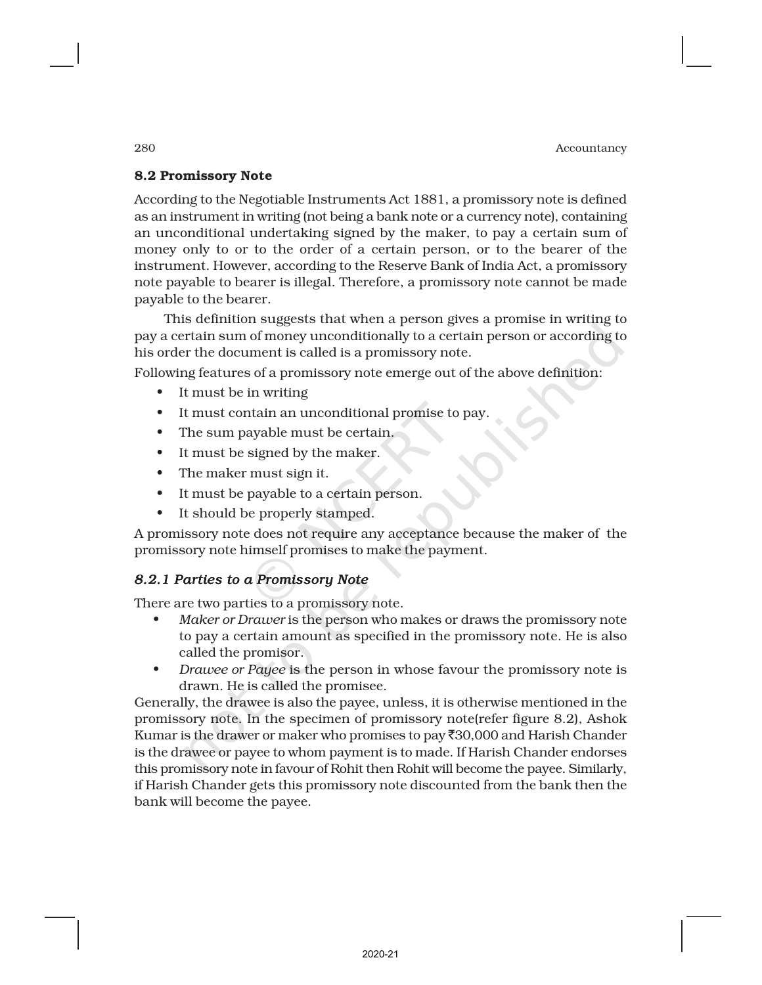## 8.2 Promissory Note

According to the Negotiable Instruments Act 1881, a promissory note is defined as an instrument in writing (not being a bank note or a currency note), containing an unconditional undertaking signed by the maker, to pay a certain sum of money only to or to the order of a certain person, or to the bearer of the instrument. However, according to the Reserve Bank of India Act, a promissory note payable to bearer is illegal. Therefore, a promissory note cannot be made payable to the bearer.

This definition suggests that when a person gives a promise in writing to pay a certain sum of money unconditionally to a certain person or according to his order the document is called is a promissory note.

Following features of a promissory note emerge out of the above definition:

- It must be in writing
- It must contain an unconditional promise to pay.
- The sum payable must be certain.
- It must be signed by the maker.
- The maker must sign it.
- It must be payable to a certain person.
- It should be properly stamped.

A promissory note does not require any acceptance because the maker of the promissory note himself promises to make the payment.

## *8.2.1 Parties to a Promissory Note*

There are two parties to a promissory note.

- *Maker or Drawer* is the person who makes or draws the promissory note to pay a certain amount as specified in the promissory note. He is also called the promisor.
- *Drawee or Payee* is the person in whose favour the promissory note is drawn. He is called the promisee.

Generally, the drawee is also the payee, unless, it is otherwise mentioned in the promissory note. In the specimen of promissory note(refer figure 8.2), Ashok Kumar is the drawer or maker who promises to pay  $\overline{30,000}$  and Harish Chander is the drawee or payee to whom payment is to made. If Harish Chander endorses this promissory note in favour of Rohit then Rohit will become the payee. Similarly, if Harish Chander gets this promissory note discounted from the bank then the bank will become the payee.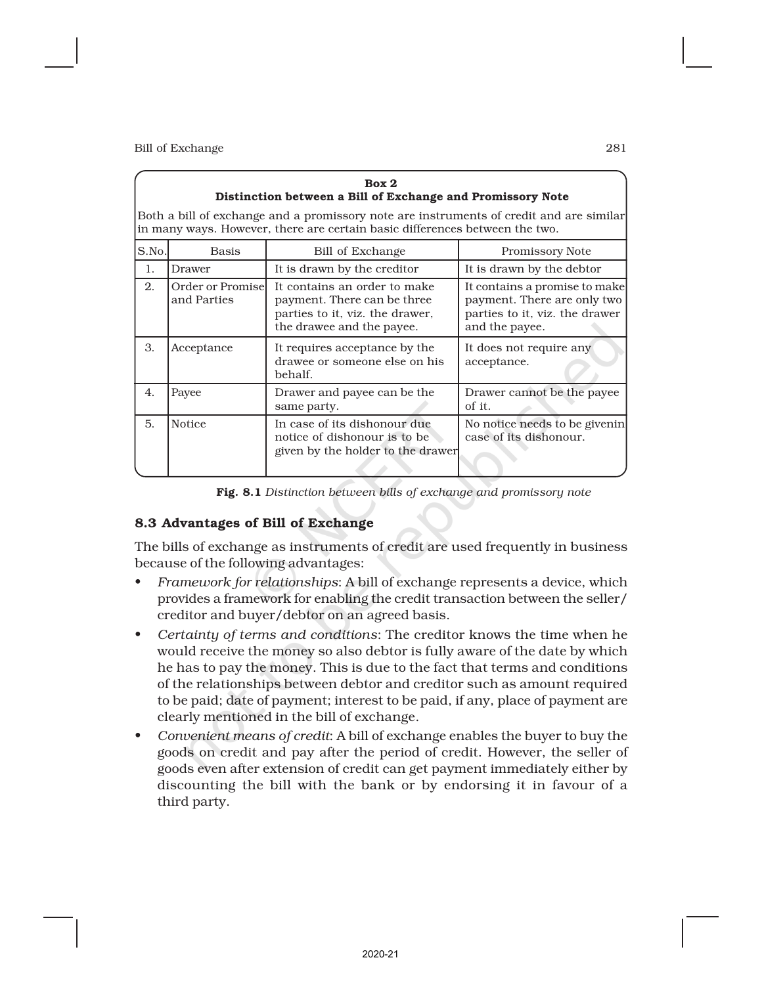|        | Box 2<br>Distinction between a Bill of Exchange and Promissory Note                                                                                                    |                                                                                                                             |                                                                                                                  |  |  |  |  |
|--------|------------------------------------------------------------------------------------------------------------------------------------------------------------------------|-----------------------------------------------------------------------------------------------------------------------------|------------------------------------------------------------------------------------------------------------------|--|--|--|--|
|        | Both a bill of exchange and a promissory note are instruments of credit and are similar<br>in many ways. However, there are certain basic differences between the two. |                                                                                                                             |                                                                                                                  |  |  |  |  |
| S.No.l | <b>Basis</b>                                                                                                                                                           | Bill of Exchange                                                                                                            | Promissory Note                                                                                                  |  |  |  |  |
| 1.     | Drawer                                                                                                                                                                 | It is drawn by the creditor                                                                                                 | It is drawn by the debtor                                                                                        |  |  |  |  |
| 2.     | Order or Promisel<br>and Parties                                                                                                                                       | It contains an order to make<br>payment. There can be three<br>parties to it, viz. the drawer,<br>the drawee and the payee. | It contains a promise to make<br>payment. There are only two<br>parties to it, viz. the drawer<br>and the payee. |  |  |  |  |
| 3.     | Acceptance                                                                                                                                                             | It requires acceptance by the<br>drawee or someone else on his<br>behalf.                                                   | It does not require any<br>acceptance.                                                                           |  |  |  |  |
| 4.     | Payee                                                                                                                                                                  | Drawer and payee can be the<br>same party.                                                                                  | Drawer cannot be the payee<br>of it.                                                                             |  |  |  |  |
| 5.     | <b>Notice</b>                                                                                                                                                          | In case of its dishonour due<br>notice of dishonour is to be<br>given by the holder to the drawer                           | No notice needs to be givenin<br>case of its dishonour.                                                          |  |  |  |  |

Fig. 8.1 *Distinction between bills of exchange and promissory note*

## 8.3 Advantages of Bill of Exchange

The bills of exchange as instruments of credit are used frequently in business because of the following advantages:

- *Framework for relationships*: A bill of exchange represents a device, which provides a framework for enabling the credit transaction between the seller/ creditor and buyer/debtor on an agreed basis.
- *Certainty of terms and conditions*: The creditor knows the time when he would receive the money so also debtor is fully aware of the date by which he has to pay the money. This is due to the fact that terms and conditions of the relationships between debtor and creditor such as amount required to be paid; date of payment; interest to be paid, if any, place of payment are clearly mentioned in the bill of exchange.
- *Convenient means of credit*: A bill of exchange enables the buyer to buy the goods on credit and pay after the period of credit. However, the seller of goods even after extension of credit can get payment immediately either by discounting the bill with the bank or by endorsing it in favour of a third party.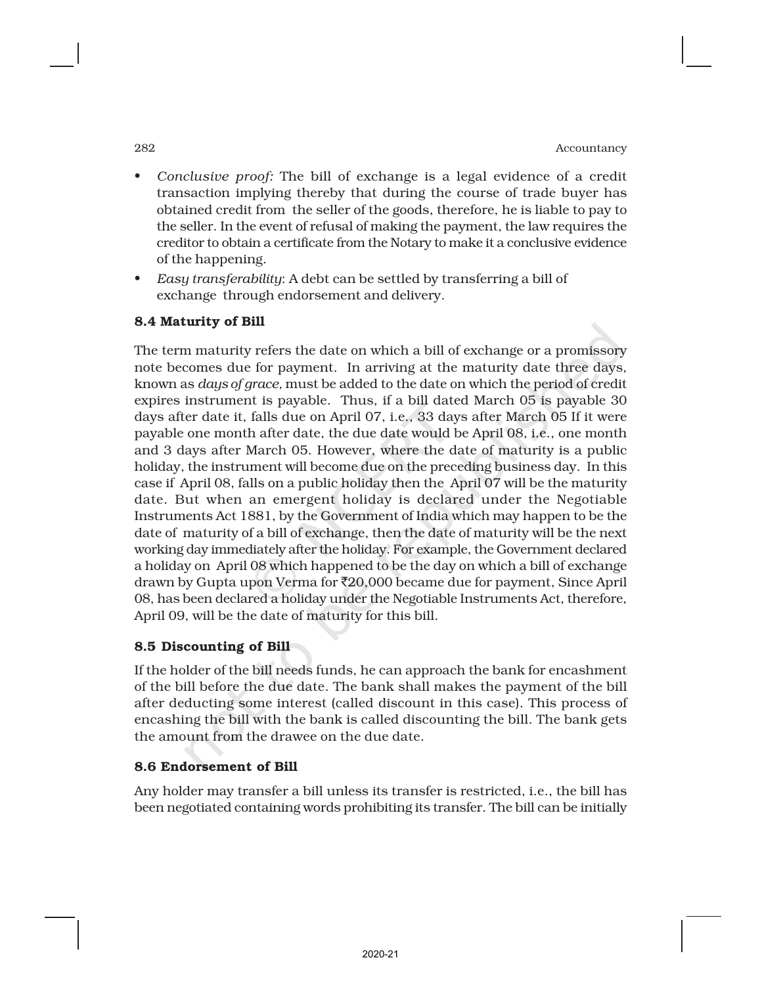- *Conclusive proof:* The bill of exchange is a legal evidence of a credit transaction implying thereby that during the course of trade buyer has obtained credit from the seller of the goods, therefore, he is liable to pay to the seller. In the event of refusal of making the payment, the law requires the creditor to obtain a certificate from the Notary to make it a conclusive evidence of the happening.
- *Easy transferability*: A debt can be settled by transferring a bill of exchange through endorsement and delivery.

## 8.4 Maturity of Bill

The term maturity refers the date on which a bill of exchange or a promissory note becomes due for payment. In arriving at the maturity date three days, known as *days of grace,* must be added to the date on which the period of credit expires instrument is payable. Thus, if a bill dated March 05 is payable 30 days after date it, falls due on April 07, i.e., 33 days after March 05 If it were payable one month after date, the due date would be April 08, i.e., one month and 3 days after March 05. However, where the date of maturity is a public holiday, the instrument will become due on the preceding business day. In this case if April 08, falls on a public holiday then the April 07 will be the maturity date. But when an emergent holiday is declared under the Negotiable Instruments Act 1881, by the Government of India which may happen to be the date of maturity of a bill of exchange, then the date of maturity will be the next working day immediately after the holiday. For example, the Government declared a holiday on April 08 which happened to be the day on which a bill of exchange drawn by Gupta upon Verma for `20,000 became due for payment, Since April 08, has been declared a holiday under the Negotiable Instruments Act, therefore, April 09, will be the date of maturity for this bill.

## 8.5 Discounting of Bill

If the holder of the bill needs funds, he can approach the bank for encashment of the bill before the due date. The bank shall makes the payment of the bill after deducting some interest (called discount in this case). This process of encashing the bill with the bank is called discounting the bill. The bank gets the amount from the drawee on the due date.

## 8.6 Endorsement of Bill

Any holder may transfer a bill unless its transfer is restricted, i.e., the bill has been negotiated containing words prohibiting its transfer. The bill can be initially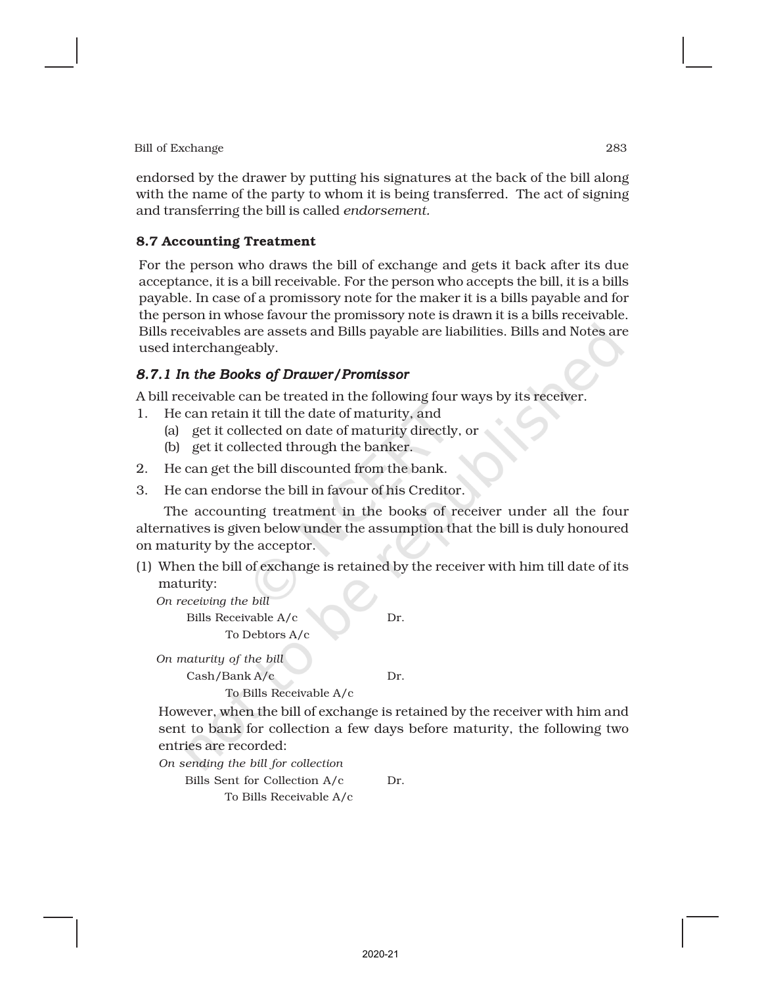endorsed by the drawer by putting his signatures at the back of the bill along with the name of the party to whom it is being transferred. The act of signing and transferring the bill is called *endorsement.*

## 8.7 Accounting Treatment

For the person who draws the bill of exchange and gets it back after its due acceptance, it is a bill receivable. For the person who accepts the bill, it is a bills payable. In case of a promissory note for the maker it is a bills payable and for the person in whose favour the promissory note is drawn it is a bills receivable. Bills receivables are assets and Bills payable are liabilities. Bills and Notes are used interchangeably.

## *8.7.1 In the Books of Drawer/Promissor*

A bill receivable can be treated in the following four ways by its receiver.

- 1. He can retain it till the date of maturity, and
	- (a) get it collected on date of maturity directly, or
	- (b) get it collected through the banker.
- 2. He can get the bill discounted from the bank.
- 3. He can endorse the bill in favour of his Creditor.

The accounting treatment in the books of receiver under all the four alternatives is given below under the assumption that the bill is duly honoured on maturity by the acceptor.

(1) When the bill of exchange is retained by the receiver with him till date of its maturity:

*On receiving the bill* Bills Receivable A/c Dr. To Debtors A/c

*On maturity of the bill* Cash/Bank A/c Dr. To Bills Receivable A/c

However, when the bill of exchange is retained by the receiver with him and sent to bank for collection a few days before maturity, the following two entries are recorded:

*On sending the bill for collection*

Bills Sent for Collection A/c Dr.

To Bills Receivable A/c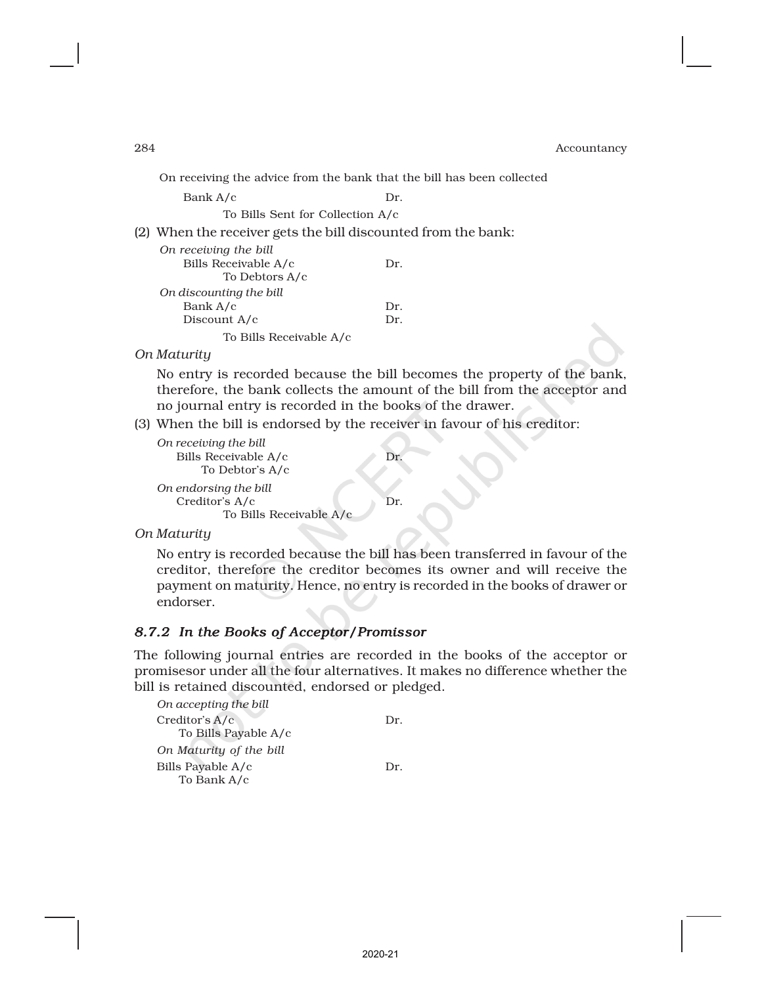On receiving the advice from the bank that the bill has been collected

Bank A/c Dr.

To Bills Sent for Collection A/c

(2) When the receiver gets the bill discounted from the bank:

| On receiving the bill   |     |
|-------------------------|-----|
| Bills Receivable A/c    | Dr. |
| To Debtors A/c          |     |
| On discounting the bill |     |
| Bank A/c                | Dr. |
| Discount A/c            | Dr. |
| To Bills Receivable A/c |     |

*On Maturity*

No entry is recorded because the bill becomes the property of the bank, therefore, the bank collects the amount of the bill from the acceptor and no journal entry is recorded in the books of the drawer.

(3) When the bill is endorsed by the receiver in favour of his creditor:

```
On receiving the bill
  Bills Receivable A/c Dr.
      To Debtor's A/c
On endorsing the bill
  Creditor's A/c Dr.
        To Bills Receivable A/c
```
*On Maturity*

No entry is recorded because the bill has been transferred in favour of the creditor, therefore the creditor becomes its owner and will receive the payment on maturity. Hence, no entry is recorded in the books of drawer or endorser.

## *8.7.2 In the Books of Acceptor/Promissor*

The following journal entries are recorded in the books of the acceptor or promisesor under all the four alternatives. It makes no difference whether the bill is retained discounted, endorsed or pledged.

| On accepting the bill   |     |
|-------------------------|-----|
| Creditor's A/c          | Dr. |
| To Bills Payable A/c    |     |
| On Maturity of the bill |     |
| Bills Payable A/c       | Dr. |
| To Bank A/c             |     |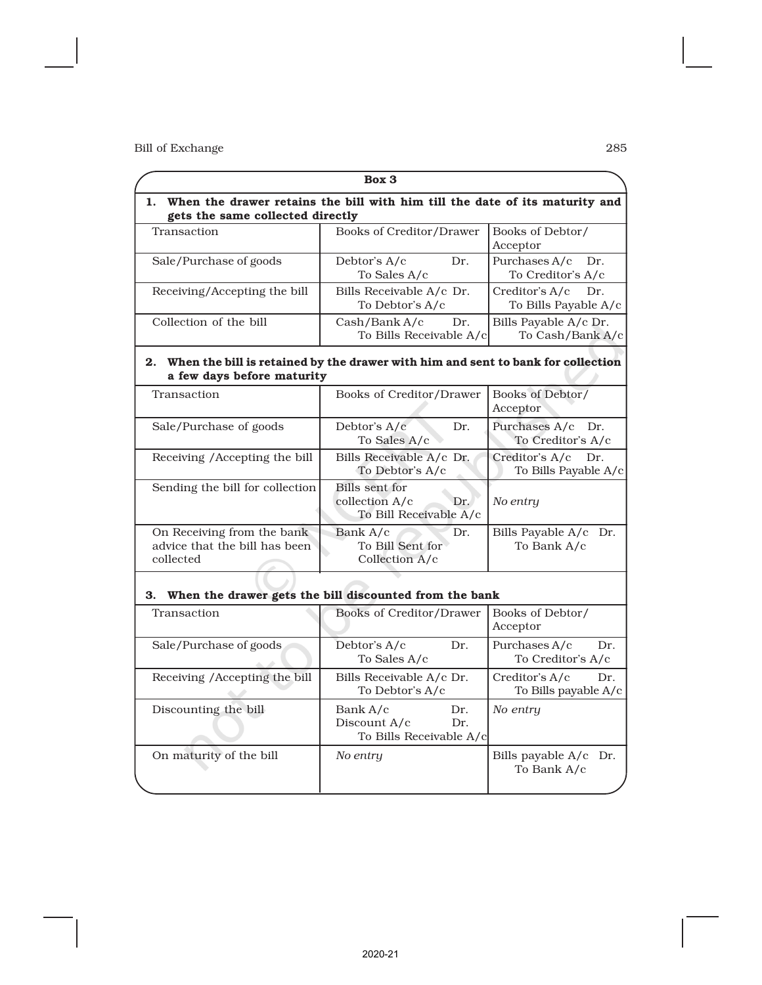|                                                                                                                   | Box 3                                                                       |                                               |
|-------------------------------------------------------------------------------------------------------------------|-----------------------------------------------------------------------------|-----------------------------------------------|
| $\mathbf{1}$ .<br>gets the same collected directly                                                                | When the drawer retains the bill with him till the date of its maturity and |                                               |
| Transaction                                                                                                       | Books of Creditor/Drawer                                                    | Books of Debtor/<br>Acceptor                  |
| Sale/Purchase of goods                                                                                            | Debtor's A/c<br>Dr.<br>To Sales A/c                                         | Purchases A/c<br>Dr.<br>To Creditor's A/c     |
| Receiving/Accepting the bill                                                                                      | Bills Receivable A/c Dr.<br>To Debtor's A/c                                 | Creditor's A/c<br>Dr.<br>To Bills Payable A/c |
| Collection of the bill                                                                                            | Cash/Bank A/c<br>Dr.<br>To Bills Receivable A/c                             | Bills Payable A/c Dr.<br>To Cash/Bank A/c     |
| 2. When the bill is retained by the drawer with him and sent to bank for collection<br>a few days before maturity |                                                                             |                                               |
| Transaction                                                                                                       | Books of Creditor/Drawer                                                    | Books of Debtor/<br>Acceptor                  |
| Sale/Purchase of goods                                                                                            | Debtor's A/c<br>Dr.<br>To Sales A/c                                         | Purchases A/c Dr.<br>To Creditor's A/c        |
| Receiving /Accepting the bill                                                                                     | Bills Receivable A/c Dr.<br>To Debtor's A/c                                 | Creditor's A/c<br>Dr.<br>To Bills Payable A/c |
| Sending the bill for collection                                                                                   | Bills sent for<br>collection A/c<br>Dr.<br>To Bill Receivable A/c           | No entry                                      |
| On Receiving from the bank<br>advice that the bill has been<br>collected                                          | Bank A/c<br>Dr.<br>To Bill Sent for<br>Collection A/c                       | Bills Payable A/c Dr.<br>To Bank A/c          |
| З.                                                                                                                | When the drawer gets the bill discounted from the bank                      |                                               |
| Transaction                                                                                                       | Books of Creditor/Drawer                                                    | Books of Debtor/<br>Acceptor                  |
| Sale/Purchase of goods                                                                                            | Debtor's A/c<br>Dr.<br>To Sales A/c                                         | Purchases A/c<br>Dr.<br>To Creditor's A/c     |
| Receiving /Accepting the bill                                                                                     | Bills Receivable A/c Dr.<br>To Debtor's A/c                                 | Creditor's A/c<br>Dr.<br>To Bills payable A/c |
| Discounting the bill                                                                                              | Bank A/c<br>Dr.<br>Discount A/c<br>Dr.<br>To Bills Receivable A/c           | No entry                                      |
| On maturity of the bill                                                                                           | No entry                                                                    | Bills payable A/c Dr.<br>To Bank A/c          |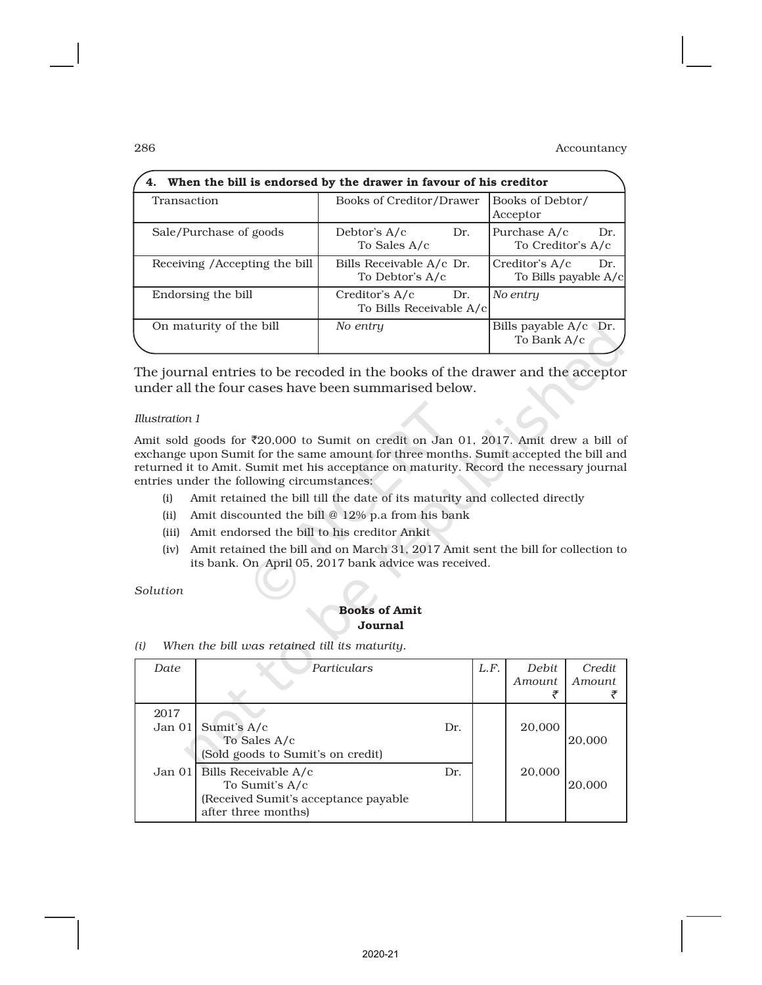| 4. When the bill is endorsed by the drawer in favour of his creditor |                                                  |                                               |  |  |  |  |  |  |
|----------------------------------------------------------------------|--------------------------------------------------|-----------------------------------------------|--|--|--|--|--|--|
| Transaction                                                          | Books of Creditor/Drawer                         | Books of Debtor/<br>Acceptor                  |  |  |  |  |  |  |
| Sale/Purchase of goods                                               | Debtor's $A/c$<br>Dr.<br>To Sales A/c            | Purchase A/c<br>Dr.<br>To Creditor's A/c      |  |  |  |  |  |  |
| Receiving / Accepting the bill                                       | Bills Receivable A/c Dr.<br>To Debtor's A/c      | Creditor's A/c<br>Dr.<br>To Bills payable A/c |  |  |  |  |  |  |
| Endorsing the bill                                                   | Creditor's A/c<br>Dr.<br>To Bills Receivable A/c | No entry                                      |  |  |  |  |  |  |
| On maturity of the bill                                              | No entry                                         | Bills payable $A/c$ Dr.<br>To Bank A/c        |  |  |  |  |  |  |

The journal entries to be recoded in the books of the drawer and the acceptor under all the four cases have been summarised below.

#### *Illustration 1*

Amit sold goods for  $\text{\textdegree}20,000$  to Sumit on credit on Jan 01, 2017. Amit drew a bill of exchange upon Sumit for the same amount for three months. Sumit accepted the bill and returned it to Amit. Sumit met his acceptance on maturity. Record the necessary journal entries under the following circumstances:

- (i) Amit retained the bill till the date of its maturity and collected directly
- (ii) Amit discounted the bill @ 12% p.a from his bank
- (iii) Amit endorsed the bill to his creditor Ankit
- (iv) Amit retained the bill and on March 31, 2017 Amit sent the bill for collection to its bank. On April 05, 2017 bank advice was received.

*Solution*

#### Books of Amit Journal

*(i) When the bill was retained till its maturity.*

| Date           | Particulars                                                                                           |     | L.F. | Debit<br>Amount | Credit<br>Amount |
|----------------|-------------------------------------------------------------------------------------------------------|-----|------|-----------------|------------------|
| 2017<br>Jan 01 | Sumit's A/c<br>To Sales A/c<br>(Sold goods to Sumit's on credit)                                      | Dr. |      | 20,000          | 20,000           |
| Jan 01         | Bills Receivable A/c<br>To Sumit's A/c<br>(Received Sumit's acceptance payable<br>after three months) | Dr. |      | 20,000          | 20,000           |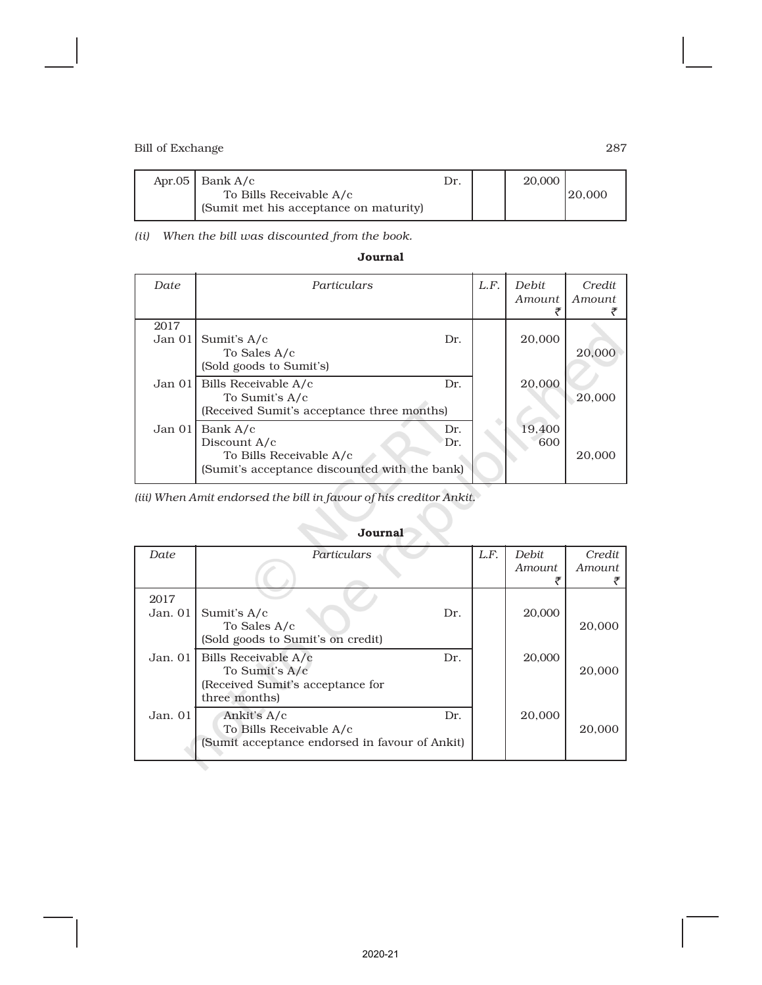| Apr.05   Bank $A/c$                                               | Dr. | 20,000 |        |
|-------------------------------------------------------------------|-----|--------|--------|
| To Bills Receivable A/c<br>(Sumit met his acceptance on maturity) |     |        | 20,000 |

*(ii) When the bill was discounted from the book.*

| Date           | Particulars                                                                                          |            | L.F. | <b>Debit</b><br><i>Amount</i> | Credit<br><i>Amount</i> |
|----------------|------------------------------------------------------------------------------------------------------|------------|------|-------------------------------|-------------------------|
| 2017<br>Jan 01 | Sumit's A/c<br>To Sales A/c<br>(Sold goods to Sumit's)                                               | Dr.        |      | 20,000                        | 20,000                  |
| Jan 01         | Bills Receivable A/c<br>To Sumit's A/c<br>(Received Sumit's acceptance three months)                 | Dr.        |      | 20,000                        | 20,000                  |
| Jan $01$       | Bank A/c<br>Discount A/c<br>To Bills Receivable A/c<br>(Sumit's acceptance discounted with the bank) | Dr.<br>Dr. |      | 19,400<br>600                 | 20,000                  |

*(iii) When Amit endorsed the bill in favour of his creditor Ankit.*

| Date    | Particulars                                    | L.F. | <b>Debit</b>  | Credit |
|---------|------------------------------------------------|------|---------------|--------|
|         |                                                |      | <i>Amount</i> | Amount |
|         |                                                |      |               |        |
| 2017    |                                                |      |               |        |
| Jan. 01 | Sumit's A/c<br>Dr.                             |      | 20,000        |        |
|         | To Sales A/c                                   |      |               | 20,000 |
|         | (Sold goods to Sumit's on credit)              |      |               |        |
| Jan. 01 | Bills Receivable A/c<br>Dr.                    |      | 20,000        |        |
|         | To Sumit's A/c                                 |      |               | 20,000 |
|         | (Received Sumit's acceptance for               |      |               |        |
|         | three months)                                  |      |               |        |
| Jan. 01 | Ankit's A/c<br>Dr.                             |      | 20,000        |        |
|         | To Bills Receivable A/c                        |      |               | 20,000 |
|         | (Sumit acceptance endorsed in favour of Ankit) |      |               |        |
|         |                                                |      |               |        |

## Journal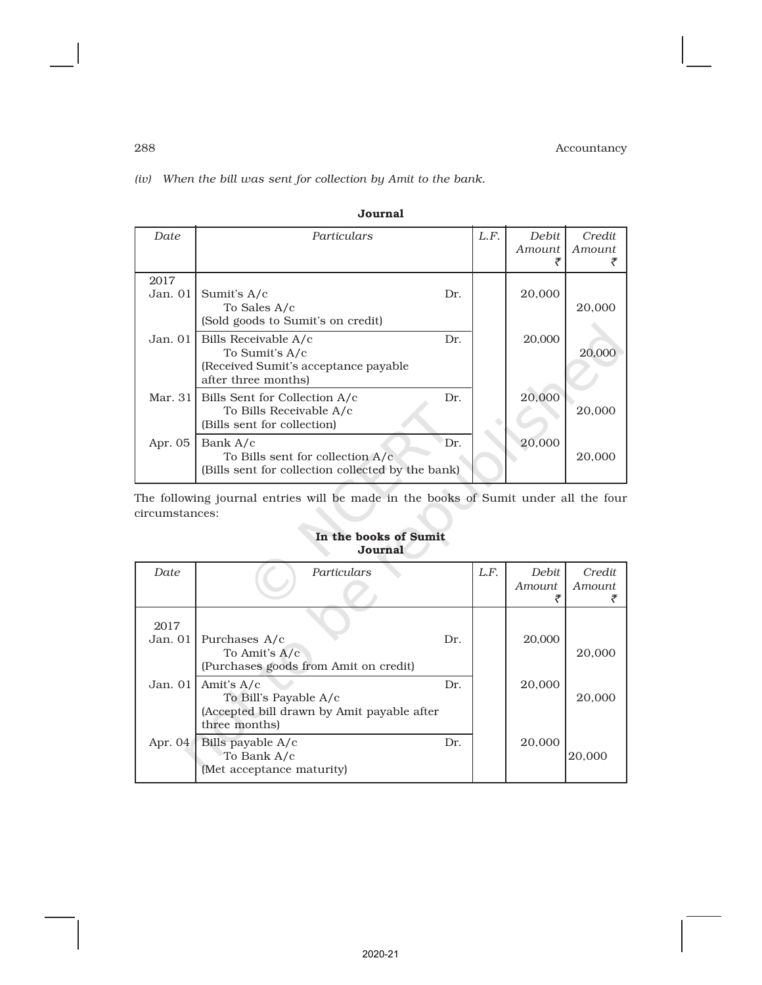*(iv) When the bill was sent for collection by Amit to the bank.*

| Date            | Particulars                                                                                                   | L.F. | Debit<br>Amount | Credit<br>Amount |
|-----------------|---------------------------------------------------------------------------------------------------------------|------|-----------------|------------------|
| 2017<br>Jan. 01 | Sumit's A/c<br>Dr.<br>To Sales A/c<br>(Sold goods to Sumit's on credit)                                       |      | 20,000          | 20,000           |
| Jan. 01         | Bills Receivable A/c<br>Dr.<br>To Sumit's A/c<br>(Received Sumit's acceptance payable)<br>after three months) |      | 20,000          | 20,000           |
| Mar. 311        | Dr.<br>Bills Sent for Collection A/c<br>To Bills Receivable A/c<br>(Bills sent for collection)                |      | 20,000          | 20,000           |
| Apr. 05         | Bank A/c<br>Dr.<br>To Bills sent for collection A/c<br>(Bills sent for collection collected by the bank)      |      | 20,000          | 20,000           |

Journal

The following journal entries will be made in the books of Sumit under all the four circumstances:

### In the books of Sumit Journal

| Date            | Particulars                                                                                          |     | L.F. | <b>Debit</b><br>Amount. | Credit<br>Amount |
|-----------------|------------------------------------------------------------------------------------------------------|-----|------|-------------------------|------------------|
| 2017<br>Jan. 01 | Purchases A/c<br>To Amit's A/c<br>(Purchases goods from Amit on credit)                              | Dr. |      | 20,000                  | 20,000           |
| Jan. $01$       | Amit's $A/c$<br>To Bill's Payable A/c<br>(Accepted bill drawn by Amit payable after<br>three months) | Dr. |      | 20,000                  | 20,000           |
| Apr. 04         | Bills payable A/c<br>To Bank A/c<br>(Met acceptance maturity)                                        | Dr. |      | 20,000                  | 20,000           |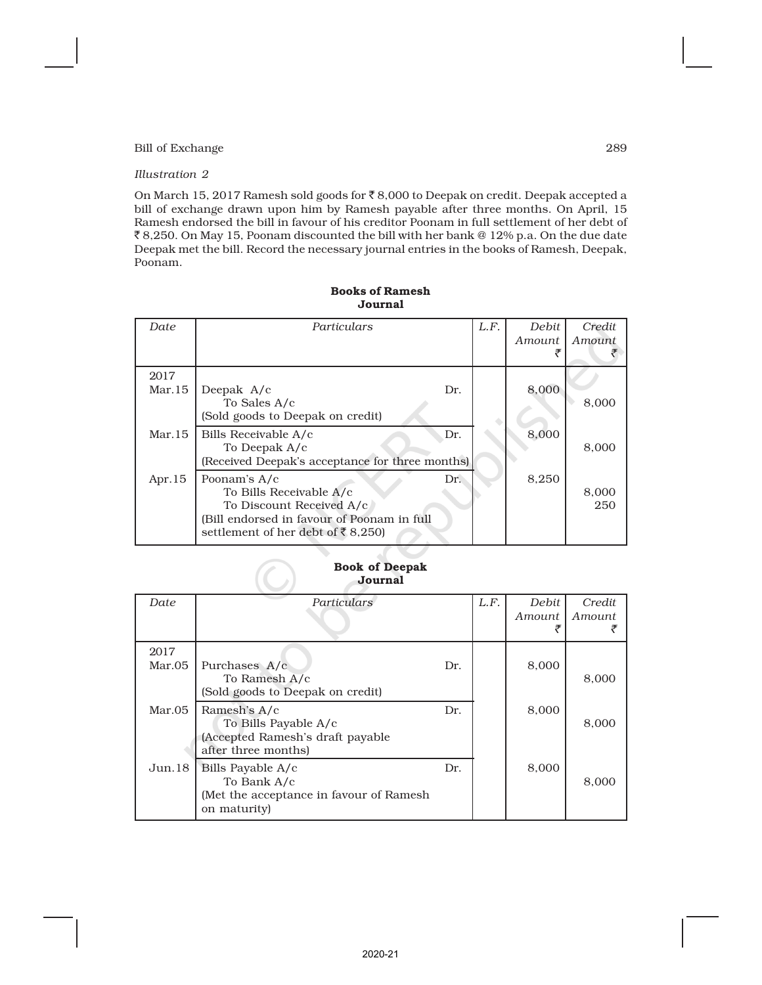#### *Illustration 2*

On March 15, 2017 Ramesh sold goods for  $\bar{\tau}$  8,000 to Deepak on credit. Deepak accepted a bill of exchange drawn upon him by Ramesh payable after three months. On April, 15 Ramesh endorsed the bill in favour of his creditor Poonam in full settlement of her debt of ` 8,250. On May 15, Poonam discounted the bill with her bank @ 12% p.a. On the due date Deepak met the bill. Record the necessary journal entries in the books of Ramesh, Deepak, Poonam.

| Date           | Particulars                                                                                                                                            |     | L.F. | Debit  | Credit       |
|----------------|--------------------------------------------------------------------------------------------------------------------------------------------------------|-----|------|--------|--------------|
|                |                                                                                                                                                        |     |      | Amount | Amount       |
| 2017<br>Mar.15 | Deepak A/c<br>To Sales A/c<br>(Sold goods to Deepak on credit)                                                                                         | Dr. |      | 8,000  | 8,000        |
| Mar.15         | Bills Receivable A/c<br>To Deepak A/c<br>(Received Deepak's acceptance for three months)                                                               | Dr. |      | 8,000  | 8,000        |
| Apr. $15$      | Poonam's A/c<br>To Bills Receivable A/c<br>To Discount Received A/c<br>(Bill endorsed in favour of Poonam in full<br>settlement of her debt of ₹8,250) | Dr. |      | 8,250  | 8,000<br>250 |

### Books of Ramesh Journal

#### Book of Deepak Journal

| Date           | Particulars                                                                                     |     | L.F. | <b>Debit</b><br>Amount | Credit<br>Amount |
|----------------|-------------------------------------------------------------------------------------------------|-----|------|------------------------|------------------|
| 2017<br>Mar.05 | Purchases A/c<br>To Ramesh A/c<br>(Sold goods to Deepak on credit)                              | Dr. |      | 8,000                  | 8,000            |
| Mar.05         | Ramesh's A/c<br>To Bills Payable A/c<br>(Accepted Ramesh's draft payable<br>after three months) | Dr. |      | 8,000                  | 8,000            |
| Jun.18         | Bills Payable A/c<br>To Bank A/c<br>(Met the acceptance in favour of Ramesh)<br>on maturity)    | Dr. |      | 8,000                  | 8.000            |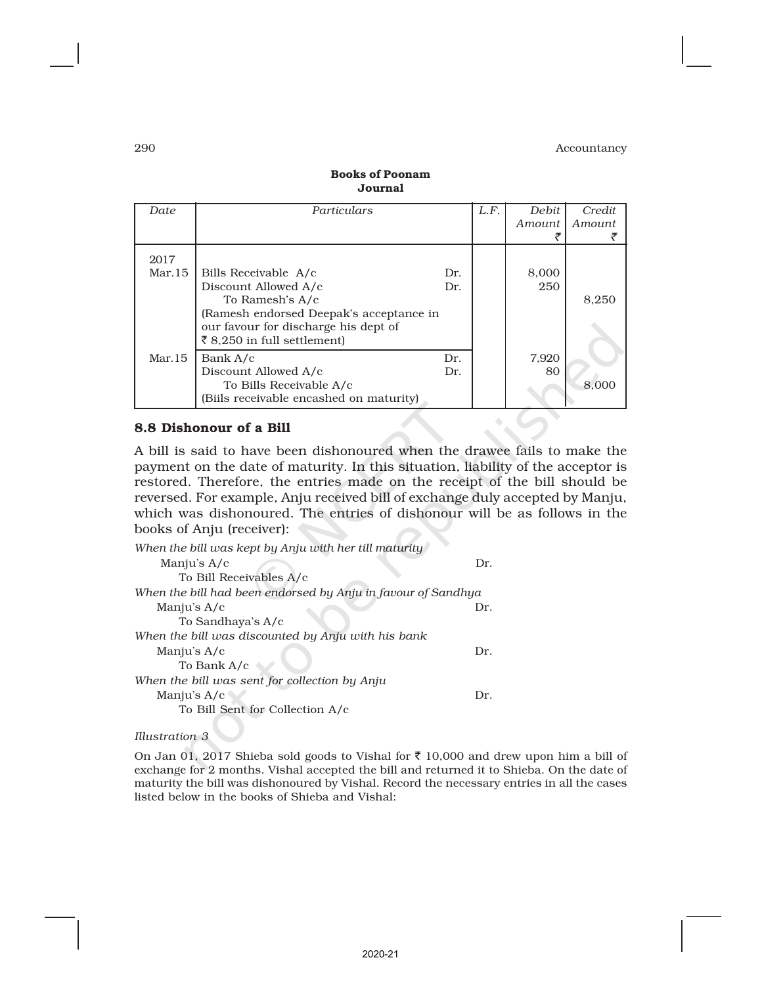| Date    | Particulars                             |     | L.F. | <b>Debit</b> | Credit        |
|---------|-----------------------------------------|-----|------|--------------|---------------|
|         |                                         |     |      | Amount       | <i>Amount</i> |
|         |                                         |     |      |              |               |
| 2017    |                                         |     |      |              |               |
| Mar. 15 | Bills Receivable A/c                    | Dr. |      | 8,000        |               |
|         | Discount Allowed A/c                    | Dr. |      | 250          |               |
|         | To Ramesh's A/c                         |     |      |              | 8,250         |
|         | (Ramesh endorsed Deepak's acceptance in |     |      |              |               |
|         | our favour for discharge his dept of    |     |      |              |               |
|         | ₹8,250 in full settlement)              |     |      |              |               |
| Mar.15  | Bank A/c                                | Dr. |      | 7,920        |               |
|         | Discount Allowed A/c                    | Dr. |      | 80           |               |
|         | To Bills Receivable A/c                 |     |      |              | 8.000         |
|         | (Biils receivable encashed on maturity) |     |      |              |               |

#### Books of Poonam Journal

### 8.8 Dishonour of a Bill

A bill is said to have been dishonoured when the drawee fails to make the payment on the date of maturity. In this situation, liability of the acceptor is restored. Therefore, the entries made on the receipt of the bill should be reversed. For example, Anju received bill of exchange duly accepted by Manju, which was dishonoured. The entries of dishonour will be as follows in the books of Anju (receiver):

| When the bill was kept by Anju with her till maturity        |     |
|--------------------------------------------------------------|-----|
| Manju's $A/c$                                                | Dr. |
| To Bill Receivables A/c                                      |     |
| When the bill had been endorsed by Anju in favour of Sandhya |     |
| Manju's A/c                                                  | Dr. |
| To Sandhaya's A/c                                            |     |
| When the bill was discounted by Anju with his bank           |     |
| Manju's A/c                                                  | Dr. |
| To Bank A/c                                                  |     |
| When the bill was sent for collection by Anju                |     |
| Manju's A/c                                                  | Dr. |
| To Bill Sent for Collection A/c                              |     |

*Illustration 3*

On Jan 01, 2017 Shieba sold goods to Vishal for  $\bar{\tau}$  10,000 and drew upon him a bill of exchange for 2 months. Vishal accepted the bill and returned it to Shieba. On the date of maturity the bill was dishonoured by Vishal. Record the necessary entries in all the cases listed below in the books of Shieba and Vishal: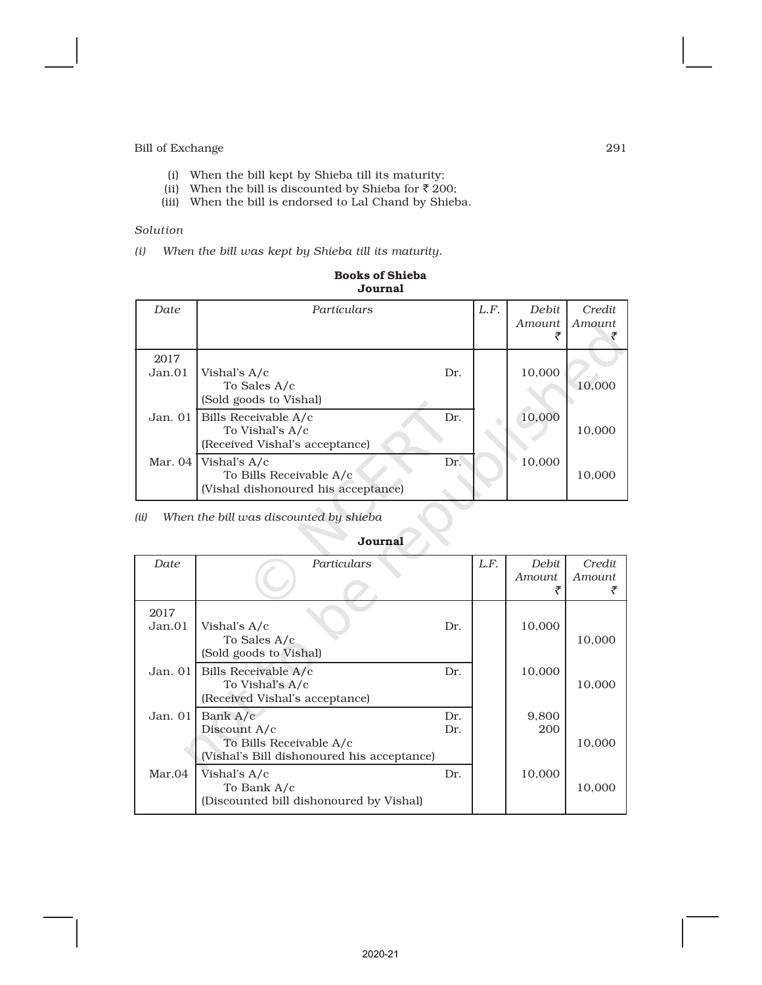- (i) When the bill kept by Shieba till its maturity;
- (ii) When the bill is discounted by Shieba for  $\bar{z}$  200;
- (iii) When the bill is endorsed to Lal Chand by Shieba.

#### *Solution*

*(i) When the bill was kept by Shieba till its maturity.*

| Date           | Particulars                                                                    |     | L.F. | Debit<br>Amount | Credit<br>Amount |
|----------------|--------------------------------------------------------------------------------|-----|------|-----------------|------------------|
| 2017<br>Jan.01 | Vishal's A/c<br>To Sales A/c<br>(Sold goods to Vishal)                         | Dr. |      | 10,000          | 10,000           |
| Jan. 01        | Bills Receivable A/c<br>To Vishal's A/c<br>(Received Vishal's acceptance)      | Dr. |      | 10,000          | 10,000           |
| Mar. 04        | Vishal's A/c<br>To Bills Receivable A/c<br>(Vishal dishonoured his acceptance) | Dr. |      | 10,000          | 10,000           |

#### Books of Shieba Journal

*(ii) When the bill was discounted by shieba*

#### Journal

| Date           | Particulars                                                                                       |            | L.F. | <b>Debit</b><br>Amount<br>ச | Credit<br>Amount |
|----------------|---------------------------------------------------------------------------------------------------|------------|------|-----------------------------|------------------|
| 2017<br>Jan.01 | Vishal's A/c<br>To Sales A/c<br>(Sold goods to Vishal)                                            | Dr.        |      | 10,000                      | 10,000           |
| Jan. 011       | Bills Receivable A/c<br>To Vishal's A/c<br>(Received Vishal's acceptance)                         | Dr.        |      | 10,000                      | 10,000           |
| Jan. $01$      | Bank A/c<br>Discount A/c<br>To Bills Receivable A/c<br>(Vishal's Bill dishonoured his acceptance) | Dr.<br>Dr. |      | 9,800<br>200                | 10,000           |
| Mar.04         | Vishal's A/c<br>To Bank A/c<br>(Discounted bill dishonoured by Vishal)                            | Dr.        |      | 10,000                      | 10,000           |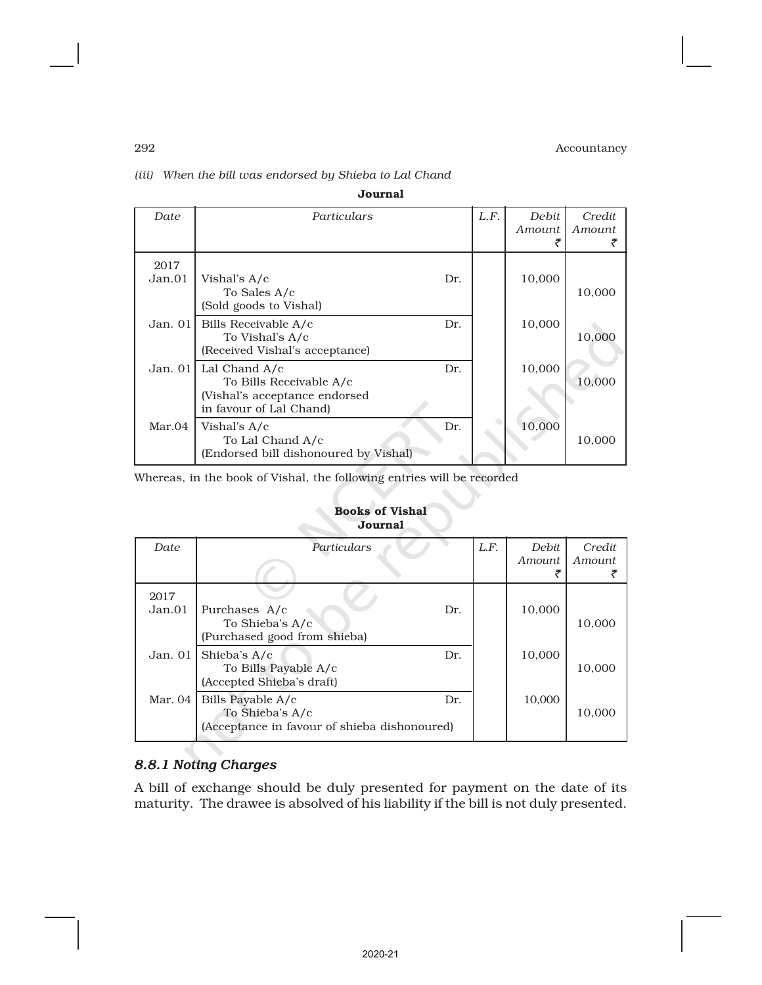## *(iii) When the bill was endorsed by Shieba to Lal Chand*

| Date       | Particulars                           |     | L.F. | Debit  | Credit |
|------------|---------------------------------------|-----|------|--------|--------|
|            |                                       |     |      | Amount | Amount |
|            |                                       |     |      |        |        |
| 2017       |                                       |     |      |        |        |
| Jan.01     | Vishal's A/c                          | Dr. |      | 10,000 |        |
|            | To Sales A/c                          |     |      |        | 10,000 |
|            | (Sold goods to Vishal)                |     |      |        |        |
| Jan. $01$  | Bills Receivable A/c                  | Dr. |      | 10,000 |        |
|            | To Vishal's A/c                       |     |      |        | 10,000 |
|            | (Received Vishal's acceptance)        |     |      |        |        |
| Jan. $011$ | Lal Chand A/c                         | Dr. |      | 10,000 |        |
|            | To Bills Receivable A/c               |     |      |        | 10,000 |
|            | (Vishal's acceptance endorsed         |     |      |        |        |
|            | in favour of Lal Chand)               |     |      |        |        |
| Mar.04     | Vishal's A/c                          | Dr. |      | 10,000 |        |
|            | To Lal Chand A/c                      |     |      |        | 10,000 |
|            | (Endorsed bill dishonoured by Vishal) |     |      |        |        |

Journal

Whereas, in the book of Vishal, the following entries will be recorded

### Books of Vishal Journal

| Date           | Particulars                                                                                 | L.F. | <b>Debit</b><br><i>Amount</i><br>チ | Credit<br><i>Amount</i> |
|----------------|---------------------------------------------------------------------------------------------|------|------------------------------------|-------------------------|
| 2017<br>Jan.01 | Purchases A/c<br>Dr.<br>To Shieba's A/c<br>(Purchased good from shieba)                     |      | 10,000                             | 10,000                  |
| Jan. 01        | Shieba's A/c<br>Dr.<br>To Bills Payable A/c<br>(Accepted Shieba's draft)                    |      | 10,000                             | 10,000                  |
| Mar. 04        | Bills Payable A/c<br>Dr.<br>To Shieba's A/c<br>(Acceptance in favour of shieba dishonoured) |      | 10.000                             | 10,000                  |

## *8.8.1 Noting Charges*

A bill of exchange should be duly presented for payment on the date of its maturity. The drawee is absolved of his liability if the bill is not duly presented.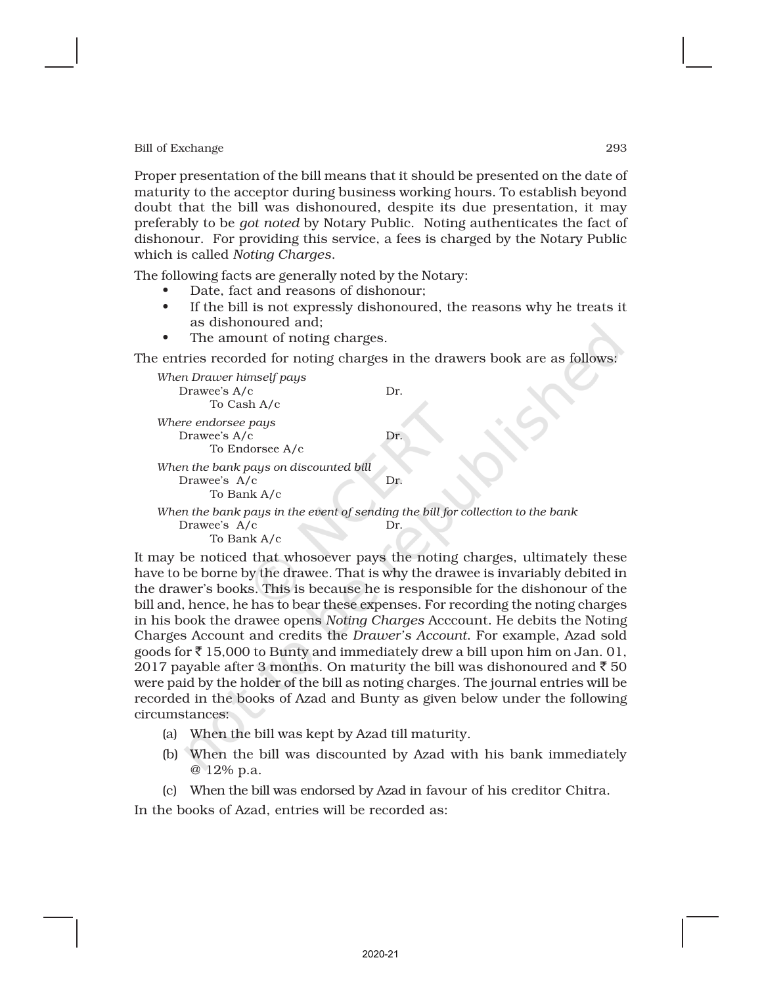Proper presentation of the bill means that it should be presented on the date of maturity to the acceptor during business working hours. To establish beyond doubt that the bill was dishonoured, despite its due presentation, it may preferably to be *got noted* by Notary Public. Noting authenticates the fact of dishonour. For providing this service, a fees is charged by the Notary Public which is called *Noting Charges*.

The following facts are generally noted by the Notary:

- Date, fact and reasons of dishonour;
- If the bill is not expressly dishonoured, the reasons why he treats it as dishonoured and;
- The amount of noting charges.

The entries recorded for noting charges in the drawers book are as follows:

| When Drawer himself pays<br>Drawee's A/c<br>To Cash A/c                                                       | Dr. |
|---------------------------------------------------------------------------------------------------------------|-----|
| Where endorsee pays<br>Drawee's A/c<br>To Endorsee A/c                                                        | Dr. |
| When the bank pays on discounted bill<br>Drawee's A/c<br>To Bank A/c                                          | Dr. |
| When the bank pays in the event of sending the bill for collection to the bank<br>Drawee's A/c<br>To Bank A/c | Dr. |

It may be noticed that whosoever pays the noting charges, ultimately these have to be borne by the drawee. That is why the drawee is invariably debited in the drawer's books. This is because he is responsible for the dishonour of the bill and, hence, he has to bear these expenses. For recording the noting charges in his book the drawee opens *Noting Charges* Acccount. He debits the Noting Charges Account and credits the *Drawer's Account*. For example, Azad sold goods for  $\bar{\tau}$  15,000 to Bunty and immediately drew a bill upon him on Jan. 01, 2017 payable after 3 months. On maturity the bill was dishonoured and  $\bar{\tau}$  50 were paid by the holder of the bill as noting charges. The journal entries will be recorded in the books of Azad and Bunty as given below under the following circumstances:

- (a) When the bill was kept by Azad till maturity.
- (b) When the bill was discounted by Azad with his bank immediately @ 12% p.a.
- (c) When the bill was endorsed by Azad in favour of his creditor Chitra.

In the books of Azad, entries will be recorded as: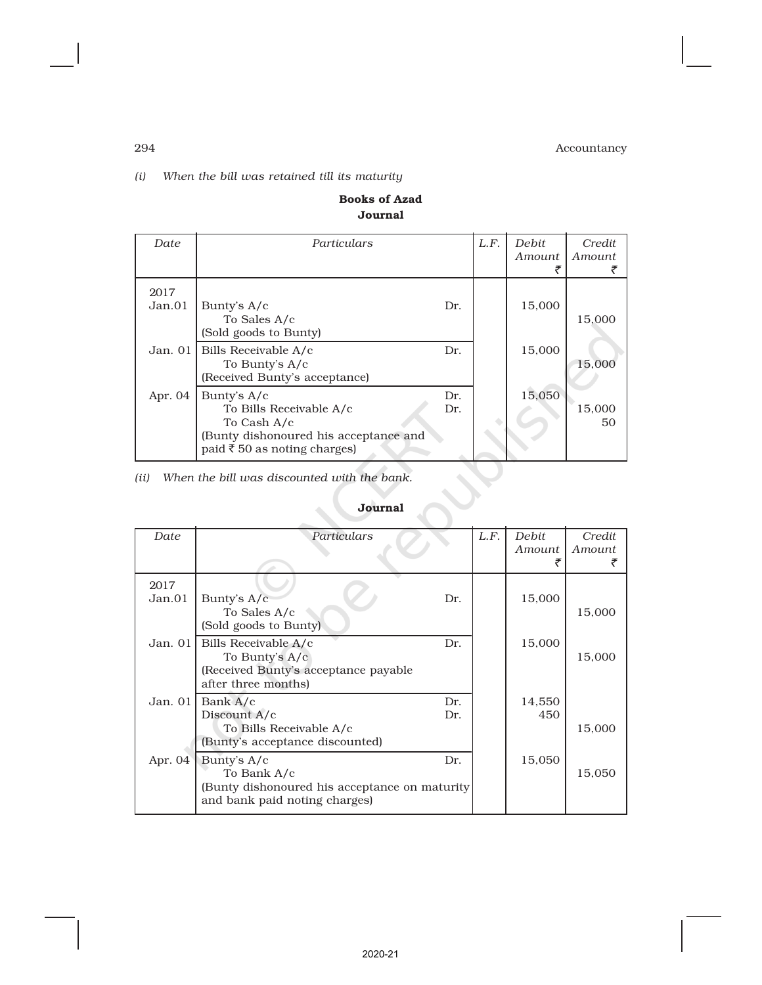## *(i) When the bill was retained till its maturity*

## Books of Azad Journal

| Date           | Particulars                                                                                                                   |            | L.F. | <b>Debit</b><br>Amount<br>₹ | Credit<br>Amount |
|----------------|-------------------------------------------------------------------------------------------------------------------------------|------------|------|-----------------------------|------------------|
| 2017<br>Jan.01 | Bunty's A/c<br>To Sales A/c<br>(Sold goods to Bunty)                                                                          | Dr.        |      | 15,000                      | 15,000           |
|                | Jan. 01   Bills Receivable A/c<br>To Bunty's A/c<br>(Received Bunty's acceptance)                                             | Dr.        |      | 15.000                      | 15,000           |
| Apr. 04        | Bunty's A/c<br>To Bills Receivable A/c<br>To Cash A/c<br>(Bunty dishonoured his acceptance and<br>paid ₹50 as noting charges) | Dr.<br>Dr. |      | 15,050                      | 15,000<br>50     |

*(ii) When the bill was discounted with the bank.*

## Journal

| Date      | Particulars                                   | L.F. | <b>Debit</b> | Credit |
|-----------|-----------------------------------------------|------|--------------|--------|
|           |                                               |      | Amount       | Amount |
|           |                                               |      |              |        |
| 2017      |                                               |      |              |        |
| Jan.01    | Bunty's A/c<br>Dr.                            |      | 15,000       |        |
|           | To Sales A/c                                  |      |              | 15,000 |
|           | (Sold goods to Bunty)                         |      |              |        |
| Jan. $01$ | Bills Receivable A/c<br>Dr.                   |      | 15,000       |        |
|           | To Bunty's A/c                                |      |              | 15,000 |
|           | (Received Bunty's acceptance payable          |      |              |        |
|           | after three months)                           |      |              |        |
| Jan. $01$ | Bank A/c<br>Dr.                               |      | 14,550       |        |
|           | Discount A/c<br>Dr.                           |      | 450          |        |
|           | To Bills Receivable A/c                       |      |              | 15,000 |
|           | (Bunty's acceptance discounted)               |      |              |        |
| Apr. $04$ | Bunty's A/c<br>Dr.                            |      | 15,050       |        |
|           | To Bank A/c                                   |      |              | 15,050 |
|           | (Bunty dishonoured his acceptance on maturity |      |              |        |
|           | and bank paid noting charges)                 |      |              |        |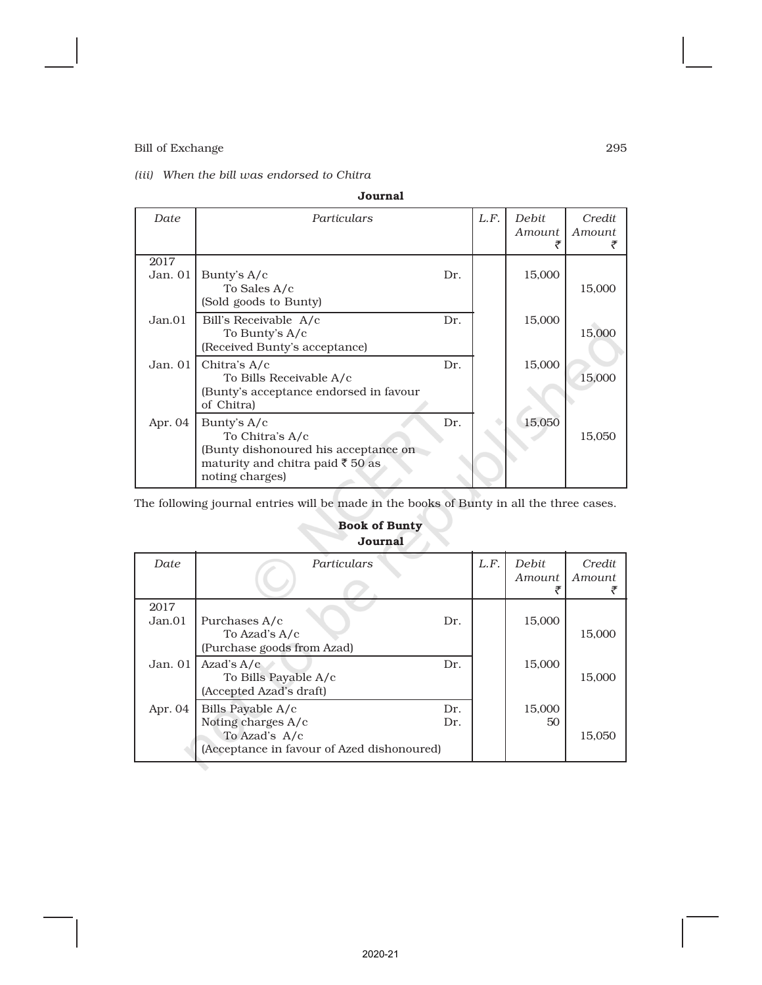## *(iii) When the bill was endorsed to Chitra*

| Journal         |                                                                                                                                 |     |      |                 |                  |  |
|-----------------|---------------------------------------------------------------------------------------------------------------------------------|-----|------|-----------------|------------------|--|
| Date            | Particulars                                                                                                                     |     | L.F. | Debit<br>Amount | Credit<br>Amount |  |
| 2017<br>Jan. 01 | Bunty's $A/c$<br>To Sales A/c<br>(Sold goods to Bunty)                                                                          | Dr. |      | 15,000          | 15,000           |  |
| Jan.01          | Bill's Receivable A/c<br>To Bunty's A/c<br>(Received Bunty's acceptance)                                                        | Dr. |      | 15,000          | 15,000           |  |
| Jan. $01$       | Chitra's A/c<br>To Bills Receivable A/c<br>(Bunty's acceptance endorsed in favour<br>of Chitra)                                 | Dr. |      | 15,000          | 15,000           |  |
| Apr. $04$       | Bunty's $A/c$<br>To Chitra's A/c<br>(Bunty dishonoured his acceptance on<br>maturity and chitra paid ₹ 50 as<br>noting charges) | Dr. |      | 15,050          | 15,050           |  |

The following journal entries will be made in the books of Bunty in all the three cases.

## Book of Bunty Journal

| Date           | Particulars                                                                                                          | L.F. | Debit<br>Amount | Credit<br><i>Amount</i> |
|----------------|----------------------------------------------------------------------------------------------------------------------|------|-----------------|-------------------------|
| 2017<br>Jan.01 | Purchases A/c<br>Dr.<br>To Azad's A/c<br>(Purchase goods from Azad)                                                  |      | 15,000          | 15,000                  |
| Jan. $01$      | Azad's $A/c$<br>Dr.<br>To Bills Payable A/c<br>(Accepted Azad's draft)                                               |      | 15,000          | 15,000                  |
| Apr. 04        | Bills Payable A/c<br>Dr.<br>Noting charges A/c<br>Dr.<br>To Azad's A/c<br>(Acceptance in favour of Azed dishonoured) |      | 15,000<br>50    | 15,050                  |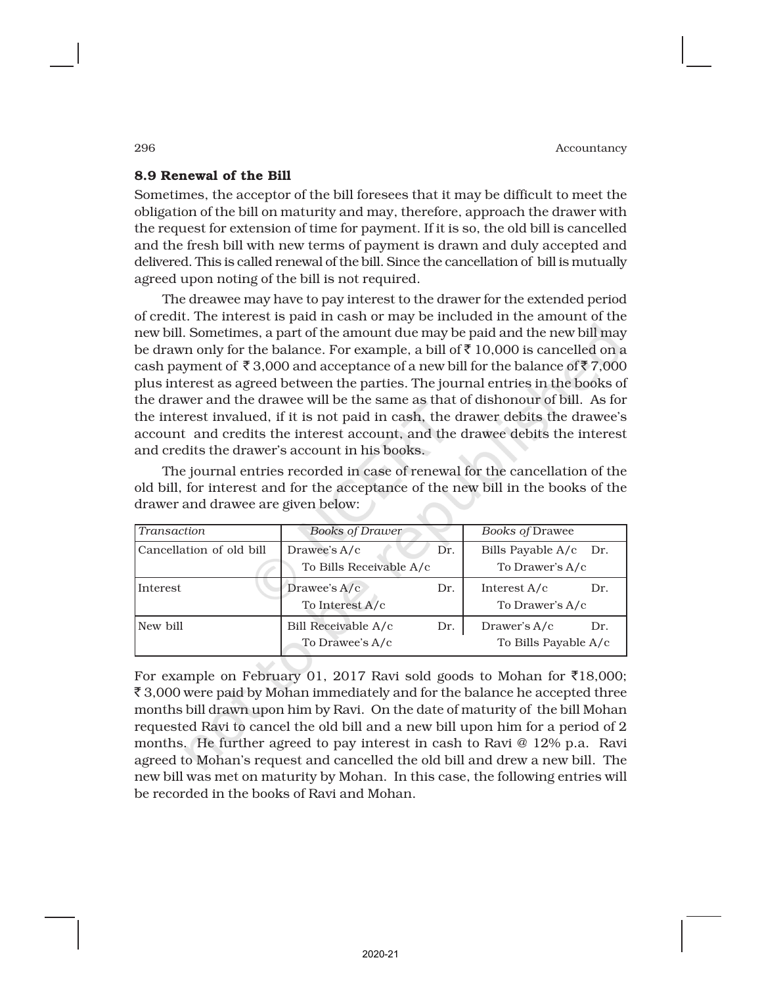## 8.9 Renewal of the Bill

Sometimes, the acceptor of the bill foresees that it may be difficult to meet the obligation of the bill on maturity and may, therefore, approach the drawer with the request for extension of time for payment. If it is so, the old bill is cancelled and the fresh bill with new terms of payment is drawn and duly accepted and delivered. This is called renewal of the bill. Since the cancellation of bill is mutually agreed upon noting of the bill is not required.

The dreawee may have to pay interest to the drawer for the extended period of credit. The interest is paid in cash or may be included in the amount of the new bill. Sometimes, a part of the amount due may be paid and the new bill may be drawn only for the balance. For example, a bill of  $\bar{\tau}$  10,000 is cancelled on a cash payment of  $\bar{\mathfrak{g}}$  3,000 and acceptance of a new bill for the balance of  $\bar{\mathfrak{g}}$  7,000 plus interest as agreed between the parties. The journal entries in the books of the drawer and the drawee will be the same as that of dishonour of bill. As for the interest invalued, if it is not paid in cash, the drawer debits the drawee's account and credits the interest account, and the drawee debits the interest and credits the drawer's account in his books.

The journal entries recorded in case of renewal for the cancellation of the old bill, for interest and for the acceptance of the new bill in the books of the drawer and drawee are given below:

| Transaction              | <b>Books of Drawer</b>                         | <b>Books of Drawee</b> |                                             |     |  |
|--------------------------|------------------------------------------------|------------------------|---------------------------------------------|-----|--|
| Cancellation of old bill | Drawee's A/c<br>Dr.<br>To Bills Receivable A/c |                        | Bills Payable A/c<br>Dr.<br>To Drawer's A/c |     |  |
| Interest                 | Drawee's $A/c$<br>To Interest A/c              | Dr.                    | Interest $A/c$<br>To Drawer's A/c           | Dr. |  |
| New bill                 | Bill Receivable A/c<br>To Drawee's A/c         | Dr.                    | Drawer's $A/c$<br>To Bills Payable A/c      | Dr. |  |

For example on February 01, 2017 Ravi sold goods to Mohan for  $\overline{5}18,000$ ;  $\bar{\mathcal{F}}$  3,000 were paid by Mohan immediately and for the balance he accepted three months bill drawn upon him by Ravi. On the date of maturity of the bill Mohan requested Ravi to cancel the old bill and a new bill upon him for a period of 2 months. He further agreed to pay interest in cash to Ravi @ 12% p.a. Ravi agreed to Mohan's request and cancelled the old bill and drew a new bill. The new bill was met on maturity by Mohan. In this case, the following entries will be recorded in the books of Ravi and Mohan.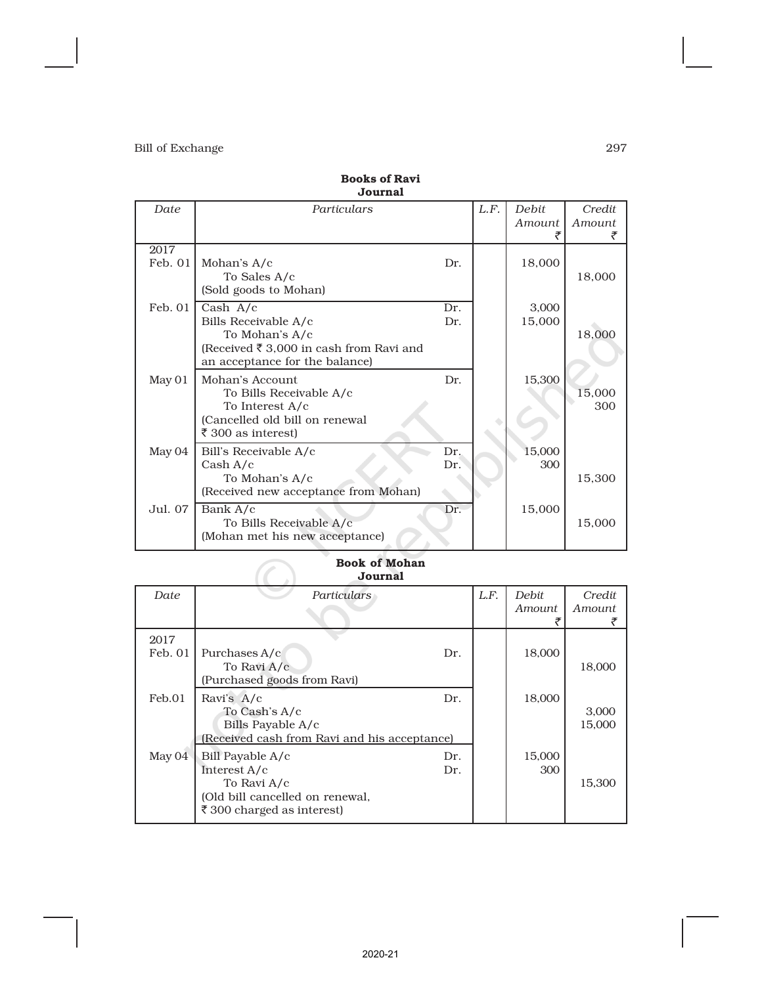|                 | oournar                                                                                                                           |            |      |                 |                  |
|-----------------|-----------------------------------------------------------------------------------------------------------------------------------|------------|------|-----------------|------------------|
| Date            | Particulars                                                                                                                       |            | L.F. | Debit<br>Amount | Credit<br>Amount |
| 2017<br>Feb. 01 | Mohan's A/c<br>To Sales A/c<br>(Sold goods to Mohan)                                                                              | Dr.        |      | 18,000          | 18,000           |
| Feb. 01         | Cash $A/c$<br>Bills Receivable A/c<br>To Mohan's A/c<br>(Received ₹ 3,000 in cash from Ravi and<br>an acceptance for the balance) | Dr.<br>Dr. |      | 3,000<br>15,000 | 18,000           |
| May 01          | Mohan's Account<br>To Bills Receivable A/c<br>To Interest A/c<br>(Cancelled old bill on renewal<br>₹ 300 as interest)             | Dr.        |      | 15,300          | 15,000<br>300    |
| May 04          | Bill's Receivable A/c<br>Cash A/c<br>To Mohan's A/c<br>(Received new acceptance from Mohan)                                       | Dr.<br>Dr. |      | 15,000<br>300   | 15,300           |
| Jul. 07         | Bank A/c<br>To Bills Receivable A/c<br>(Mohan met his new acceptance)                                                             | Dr.        |      | 15,000          | 15,000           |

#### Books of Ravi Journal

#### Book of Mohan Journal

|         | <b>Book of Mohan</b><br>Journal              |      |               |        |
|---------|----------------------------------------------|------|---------------|--------|
| Date    | Particulars                                  | L.F. | Debit.        | Credit |
|         |                                              |      | <i>Amount</i> | Amount |
|         |                                              |      |               |        |
| 2017    |                                              |      |               |        |
| Feb. 01 | Purchases A/c<br>Dr.                         |      | 18,000        |        |
|         | To Ravi A/c                                  |      |               | 18,000 |
|         | (Purchased goods from Ravi)                  |      |               |        |
| Feb.01  | Ravi's A/c<br>Dr.                            |      | 18,000        |        |
|         | To Cash's A/c                                |      |               | 3,000  |
|         | Bills Payable A/c                            |      |               | 15,000 |
|         | (Received cash from Ravi and his acceptance) |      |               |        |
| May 04  | Bill Payable A/c<br>Dr.                      |      | 15,000        |        |
|         | Interest A/c<br>Dr.                          |      | 300           |        |
|         | To Ravi A/c                                  |      |               | 15,300 |
|         | (Old bill cancelled on renewal,              |      |               |        |
|         | ₹300 charged as interest)                    |      |               |        |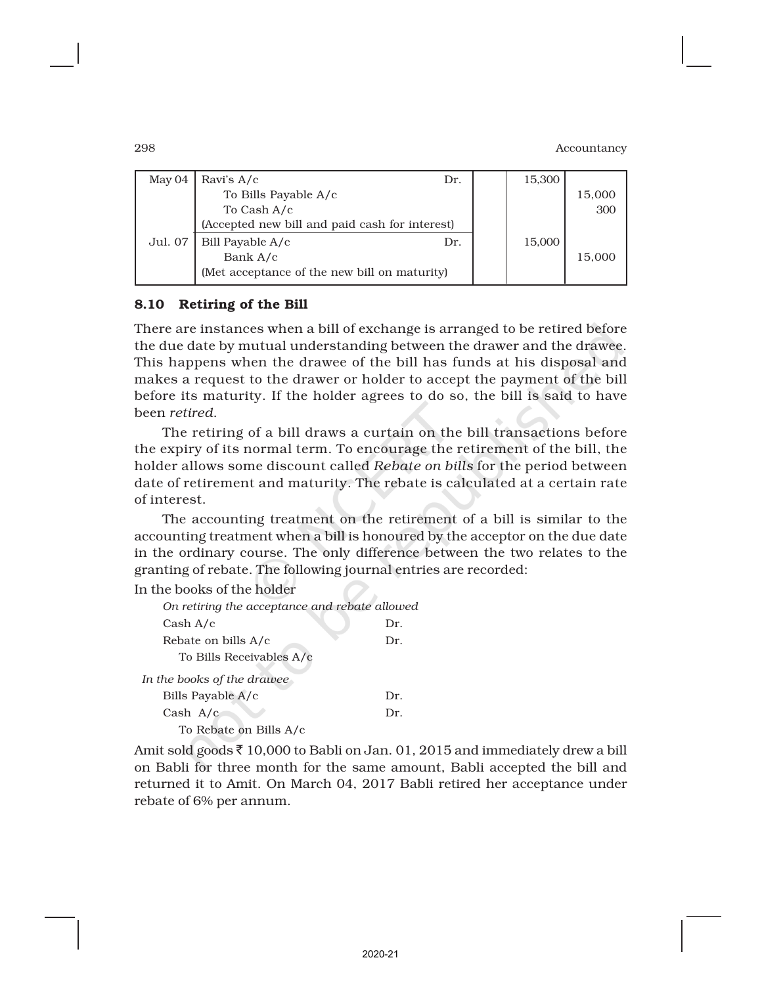| May 04  | Ravi's $A/c$                                   | Dr. | 15,300 |        |
|---------|------------------------------------------------|-----|--------|--------|
|         | To Bills Payable A/c                           |     |        | 15,000 |
|         | To Cash A/c                                    |     |        | 300    |
|         | (Accepted new bill and paid cash for interest) |     |        |        |
| Jul. 07 | Bill Payable A/c                               | Dr. | 15,000 |        |
|         | Bank A/c                                       |     |        | 15,000 |
|         | (Met acceptance of the new bill on maturity)   |     |        |        |
|         |                                                |     |        |        |

## 8.10 Retiring of the Bill

There are instances when a bill of exchange is arranged to be retired before the due date by mutual understanding between the drawer and the drawee. This happens when the drawee of the bill has funds at his disposal and makes a request to the drawer or holder to accept the payment of the bill before its maturity. If the holder agrees to do so, the bill is said to have been *retired*.

The retiring of a bill draws a curtain on the bill transactions before the expiry of its normal term. To encourage the retirement of the bill, the holder allows some discount called *Rebate on bills* for the period between date of retirement and maturity. The rebate is calculated at a certain rate of interest.

The accounting treatment on the retirement of a bill is similar to the accounting treatment when a bill is honoured by the acceptor on the due date in the ordinary course. The only difference between the two relates to the granting of rebate. The following journal entries are recorded:

 $\mathbb{Z}$  .

In the books of the holder

| On retiring the acceptance and rebate allowed |     |
|-----------------------------------------------|-----|
| Cash A/c                                      | Dr. |
| Rebate on bills A/c                           | Dr. |
| To Bills Receivables A/c                      |     |
| In the books of the drawee                    |     |
| Bills Payable A/c                             | Dr. |
| Cash $A/c$                                    | Dr. |
| To Rebate on Bills A/c                        |     |

Amit sold goods  $\bar{z}$  10,000 to Babli on Jan. 01, 2015 and immediately drew a bill on Babli for three month for the same amount, Babli accepted the bill and returned it to Amit. On March 04, 2017 Babli retired her acceptance under rebate of 6% per annum.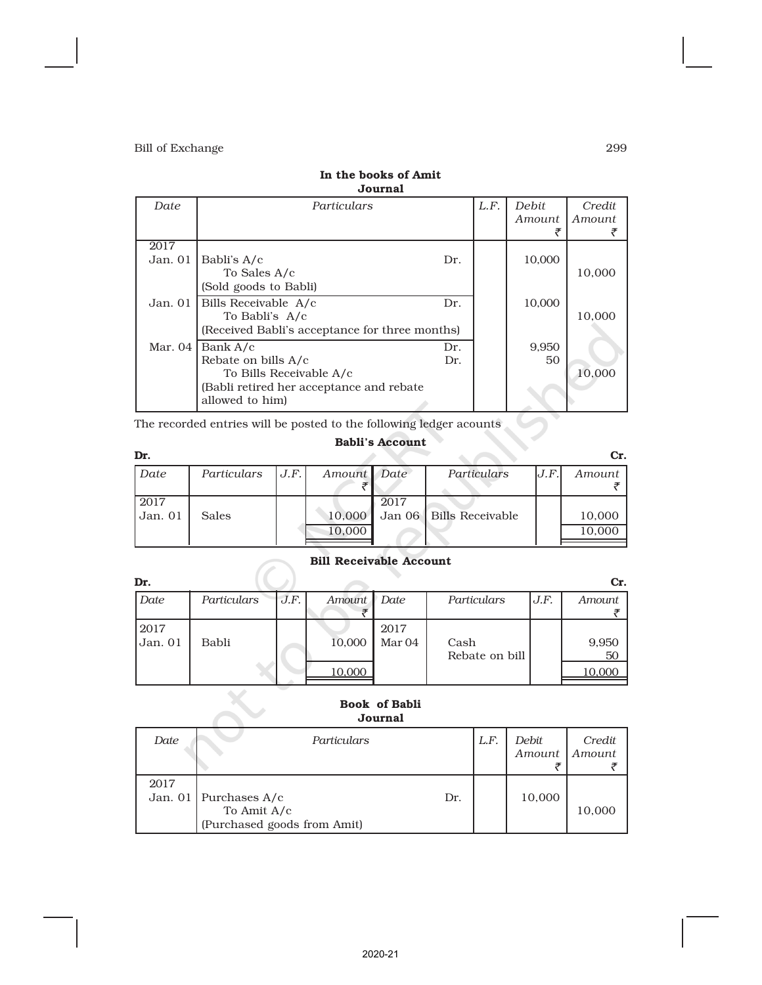| L.F.<br>Date<br>Particulars                                                                                                                           | <b>Debit</b> | Credit        |
|-------------------------------------------------------------------------------------------------------------------------------------------------------|--------------|---------------|
|                                                                                                                                                       | Amount<br>₹  | <i>Amount</i> |
| 2017<br>Jan. 01<br>Babli's A/c<br>Dr.<br>To Sales A/c<br>(Sold goods to Babli)                                                                        | 10,000       | 10,000        |
| Jan. 01<br>Bills Receivable A/c<br>Dr.<br>To Babli's A/c<br>(Received Babli's acceptance for three months)                                            | 10,000       | 10,000        |
| Mar. $04$<br>Bank A/c<br>Dr.<br>Rebate on bills A/c<br>Dr.<br>To Bills Receivable A/c<br>(Babli retired her acceptance and rebate)<br>allowed to him) | 9,950<br>50  | 10.000        |

### In the books of Amit Journal

The recorded entries will be posted to the following ledger acounts

Œ

## Babli's Account

 $\overline{\mathcal{L}}$ 

| Dr.     |              |      |             |      |                           |        | Cr.    |
|---------|--------------|------|-------------|------|---------------------------|--------|--------|
| Date    | Particulars  | J.F. | Amount Date |      | Particulars               | IJ.F.I | Amount |
|         |              |      |             |      |                           |        |        |
| 2017    |              |      |             | 2017 |                           |        |        |
| Jan. 01 | <b>Sales</b> |      | 10,000      |      | Jan 06   Bills Receivable |        | 10,000 |
|         |              |      | 10,000      |      |                           |        | 10,000 |
|         |              |      |             |      |                           |        |        |

## Bill Receivable Account

| Dr.             |             |      |        |                           |                        |      | Cr.         |
|-----------------|-------------|------|--------|---------------------------|------------------------|------|-------------|
| Date            | Particulars | J.F. | Amount | Date                      | Particulars            | J.F. | Amount      |
| 2017<br>Jan. 01 | Babli       |      | 10,000 | 2017<br>Mar <sub>04</sub> | Cash<br>Rebate on bill |      | 9,950<br>50 |
|                 |             |      | 10,000 |                           |                        |      | 10,000      |

### Book of Babli Journal

| Date | Particulars                 |     | L.F. | Debit<br>Amount | Credit<br>Amount |
|------|-----------------------------|-----|------|-----------------|------------------|
| 2017 |                             |     |      |                 |                  |
|      | Jan. 01   Purchases $A/c$   | Dr. |      | 10,000          |                  |
|      | To Amit $A/c$               |     |      |                 | 10,000           |
|      | (Purchased goods from Amit) |     |      |                 |                  |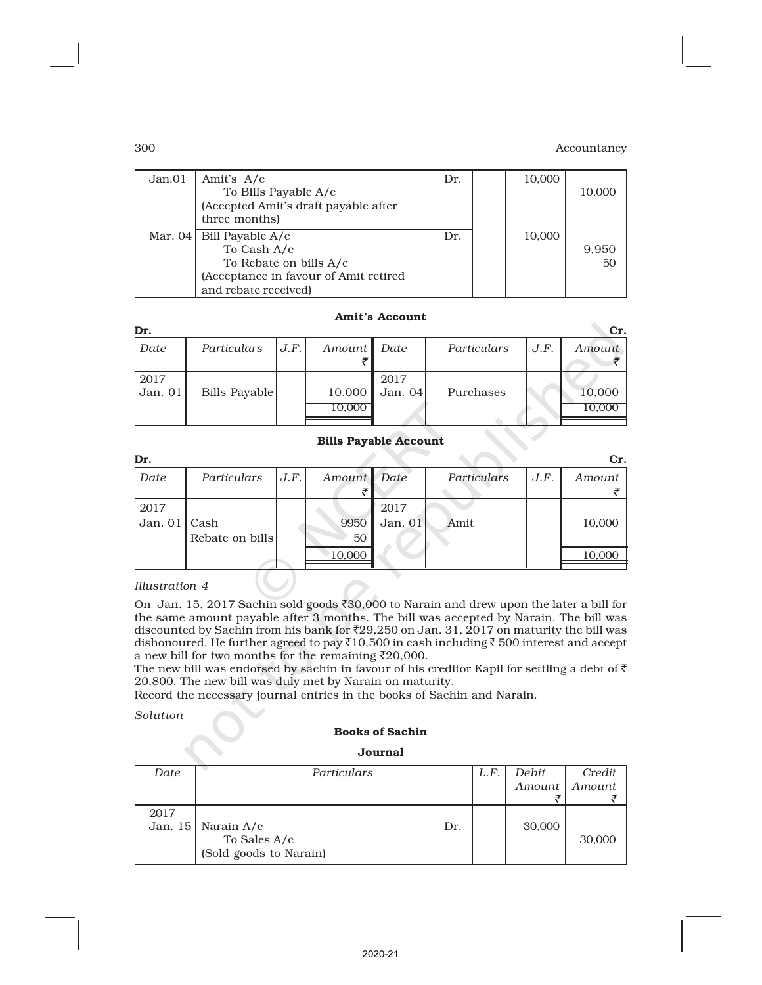| To Bills Payable A/c                                            |                                                                             | 10,000 | 10,000      |
|-----------------------------------------------------------------|-----------------------------------------------------------------------------|--------|-------------|
| three months)<br>Mar. 04   Bill Payable $A/c$                   | Dr.                                                                         | 10,000 |             |
| To Rebate on bills A/c<br>(Acceptance in favour of Amit retired |                                                                             |        | 9,950<br>50 |
|                                                                 | (Accepted Amit's draft payable after<br>To Cash A/c<br>and rebate received) |        |             |

#### Amit's Account

| Dr.             |               |      |                  |                 |             |      | Cr.    |
|-----------------|---------------|------|------------------|-----------------|-------------|------|--------|
| Date            | Particulars   | J.F. | Amount Date      |                 | Particulars | J.F. | Amount |
| 2017<br>Jan. 01 | Bills Payable |      | 10,000<br>10.000 | 2017<br>Jan. 04 | Purchases   |      | 10,000 |

#### Bills Payable Account

| Dr.            |                 |      |             |         |             |      | Cr.    |
|----------------|-----------------|------|-------------|---------|-------------|------|--------|
| Date           | Particulars     | J.F. | Amount Date |         | Particulars | J.F. | Amount |
|                |                 |      |             |         |             |      |        |
| 2017           |                 |      |             | 2017    |             |      |        |
| Jan. $01$ Cash |                 |      | 9950        | Jan. 01 | Amit        |      | 10,000 |
|                | Rebate on bills |      | 50          |         |             |      |        |
|                |                 |      | 10,000      |         |             |      | 10,000 |
|                |                 |      |             |         |             |      |        |

#### *Illustration 4*

On Jan. 15, 2017 Sachin sold goods `30,000 to Narain and drew upon the later a bill for the same amount payable after 3 months. The bill was accepted by Narain. The bill was discounted by Sachin from his bank for  $\text{\texttt{F29,250}}$  on Jan. 31, 2017 on maturity the bill was dishonoured. He further agreed to pay  $\bar{X}10,500$  in cash including  $\bar{\bar{\tau}}$  500 interest and accept a new bill for two months for the remaining  $\overline{2}20,000$ .

The new bill was endorsed by sachin in favour of his creditor Kapil for settling a debt of  $\bar{\tau}$ 20,800. The new bill was duly met by Narain on maturity.

Record the necessary journal entries in the books of Sachin and Narain.

*Solution*

#### Books of Sachin

Journal

| Date | Particulars                   | L.F. | Debit  | Credit |
|------|-------------------------------|------|--------|--------|
|      |                               |      | Amount | Amount |
|      |                               |      |        |        |
| 2017 |                               |      |        |        |
|      | Jan. 15   Narain $A/c$<br>Dr. |      | 30,000 |        |
|      | To Sales A/c                  |      |        | 30,000 |
|      | (Sold goods to Narain)        |      |        |        |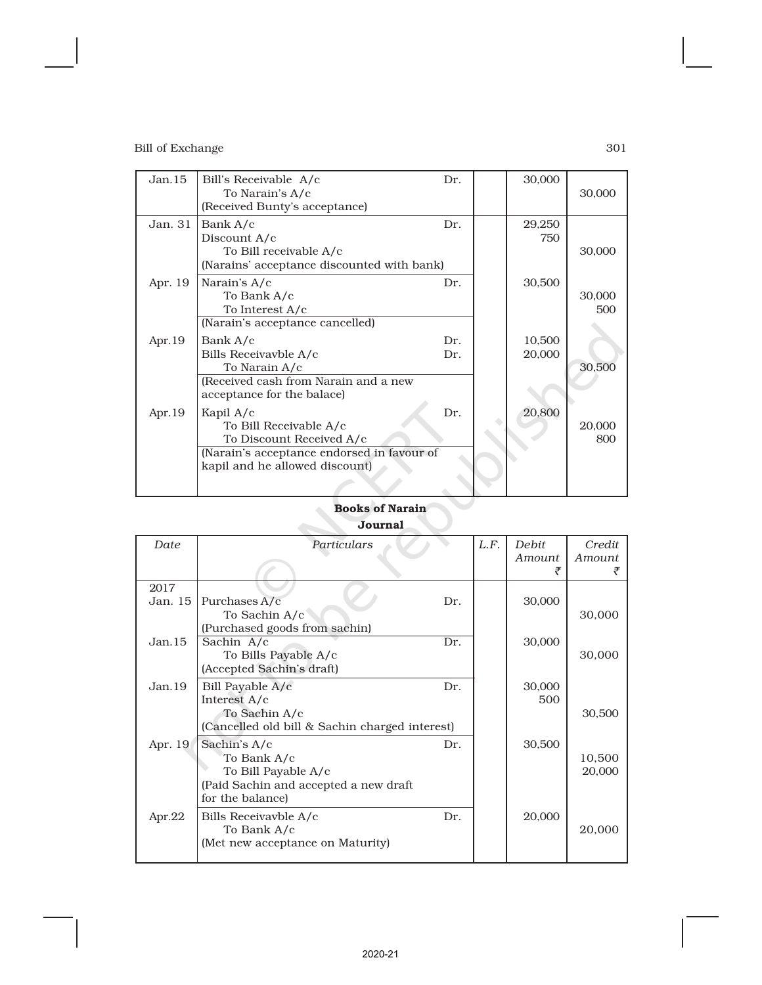| Jan.15    | Bill's Receivable A/c<br>To Narain's A/c<br>(Received Bunty's acceptance)                                                                         | Dr.        | 30,000           | 30,000        |
|-----------|---------------------------------------------------------------------------------------------------------------------------------------------------|------------|------------------|---------------|
| Jan. 31   | Bank A/c<br>Discount A/c<br>To Bill receivable A/c<br>(Narains' acceptance discounted with bank)                                                  | Dr.        | 29,250<br>750    | 30,000        |
| Apr. 19   | Narain's A/c<br>To Bank A/c<br>To Interest A/c<br>(Narain's acceptance cancelled)                                                                 | Dr.        | 30,500           | 30,000<br>500 |
| Apr. $19$ | Bank A/c<br>Bills Receivavble A/c<br>To Narain A/c<br>(Received cash from Narain and a new<br>acceptance for the balace)                          | Dr.<br>Dr. | 10,500<br>20,000 | 30,500        |
| Apr. $19$ | Kapil $A/c$<br>To Bill Receivable A/c<br>To Discount Received A/c<br>(Narain's acceptance endorsed in favour of<br>kapil and he allowed discount) | Dr.        | 20,800           | 20,000<br>800 |

## Books of Narain Journal

| Particulars                   |                                                                                                                                                                                             | L.F.                                                  | Debit  | Credit           |
|-------------------------------|---------------------------------------------------------------------------------------------------------------------------------------------------------------------------------------------|-------------------------------------------------------|--------|------------------|
|                               |                                                                                                                                                                                             |                                                       | Amount | Amount           |
|                               |                                                                                                                                                                                             |                                                       |        |                  |
|                               |                                                                                                                                                                                             |                                                       |        |                  |
| Purchases A/c                 | Dr.                                                                                                                                                                                         |                                                       | 30,000 |                  |
| To Sachin A/c                 |                                                                                                                                                                                             |                                                       |        | 30,000           |
| (Purchased goods from sachin) |                                                                                                                                                                                             |                                                       |        |                  |
| Sachin A/c                    | Dr.                                                                                                                                                                                         |                                                       | 30,000 |                  |
| To Bills Payable A/c          |                                                                                                                                                                                             |                                                       |        | 30,000           |
| (Accepted Sachin's draft)     |                                                                                                                                                                                             |                                                       |        |                  |
|                               | Dr.                                                                                                                                                                                         |                                                       | 30,000 |                  |
| Interest A/c                  |                                                                                                                                                                                             |                                                       | 500    |                  |
| To Sachin A/c                 |                                                                                                                                                                                             |                                                       |        | 30,500           |
|                               |                                                                                                                                                                                             |                                                       |        |                  |
|                               | Dr.                                                                                                                                                                                         |                                                       |        |                  |
|                               |                                                                                                                                                                                             |                                                       |        | 10,500           |
|                               |                                                                                                                                                                                             |                                                       |        | 20,000           |
|                               |                                                                                                                                                                                             |                                                       |        |                  |
| for the balance)              |                                                                                                                                                                                             |                                                       |        |                  |
|                               |                                                                                                                                                                                             |                                                       |        |                  |
|                               |                                                                                                                                                                                             |                                                       |        | 20,000           |
|                               |                                                                                                                                                                                             |                                                       |        |                  |
|                               |                                                                                                                                                                                             |                                                       |        |                  |
|                               | Bill Payable A/c<br>Sachin's A/c<br>To Bank A/c<br>To Bill Payable A/c<br>(Paid Sachin and accepted a new draft<br>Bills Receivavble A/c<br>To Bank A/c<br>(Met new acceptance on Maturity) | (Cancelled old bill & Sachin charged interest)<br>Dr. |        | 30,500<br>20,000 |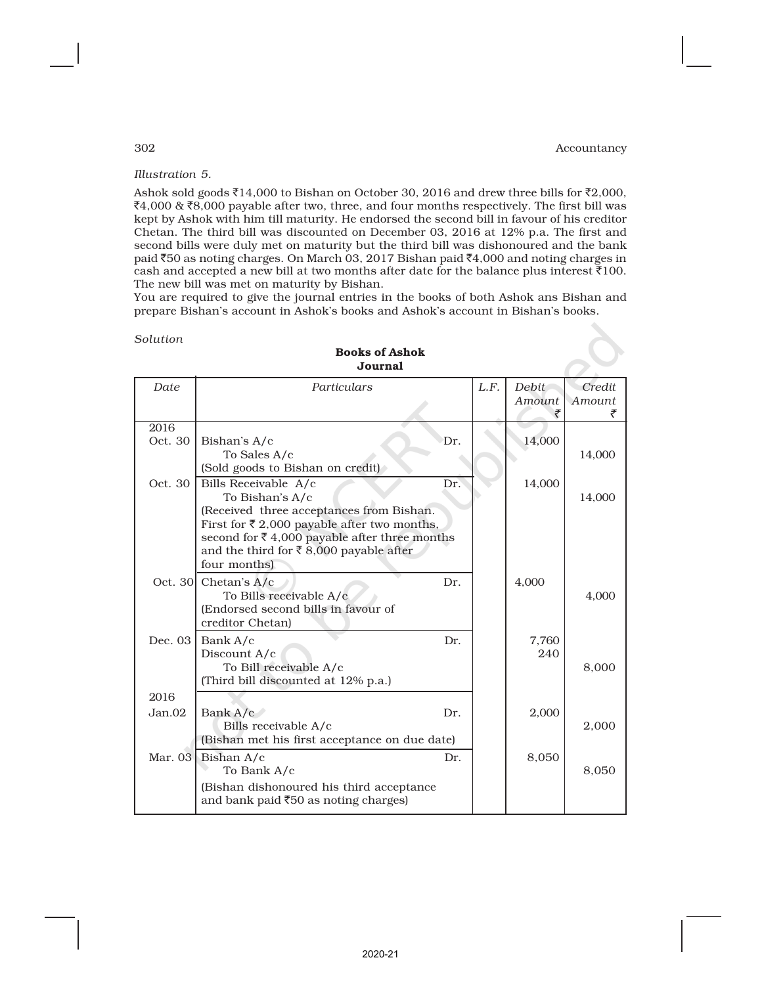# *Illustration 5.*

Ashok sold goods  $\bar{\tau}$ 14,000 to Bishan on October 30, 2016 and drew three bills for  $\bar{\tau}$ 2,000,  $₹4,000$  & ₹8,000 payable after two, three, and four months respectively. The first bill was kept by Ashok with him till maturity. He endorsed the second bill in favour of his creditor Chetan. The third bill was discounted on December 03, 2016 at 12% p.a. The first and second bills were duly met on maturity but the third bill was dishonoured and the bank paid  $\text{\textsterling}50$  as noting charges. On March 03, 2017 Bishan paid  $\text{\textsterling}4,000$  and noting charges in cash and accepted a new bill at two months after date for the balance plus interest  $\bar{\tau}100$ . The new bill was met on maturity by Bishan.

You are required to give the journal entries in the books of both Ashok ans Bishan and prepare Bishan's account in Ashok's books and Ashok's account in Bishan's books.

| Solution |  |
|----------|--|
|----------|--|

|         | ovumai                                                                                             |     |      |                        |                  |  |
|---------|----------------------------------------------------------------------------------------------------|-----|------|------------------------|------------------|--|
| Date    | Particulars                                                                                        |     | L.F. | <b>Debit</b><br>Amount | Credit<br>Amount |  |
|         |                                                                                                    |     |      | ₹                      |                  |  |
| 2016    |                                                                                                    |     |      |                        |                  |  |
| Oct. 30 | Bishan's A/c                                                                                       | Dr. |      | 14,000                 |                  |  |
|         | To Sales A/c                                                                                       |     |      |                        | 14,000           |  |
|         | (Sold goods to Bishan on credit)                                                                   |     |      |                        |                  |  |
| Oct. 30 | Bills Receivable A/c                                                                               | Dr. |      | 14,000                 |                  |  |
|         | To Bishan's A/c                                                                                    |     |      |                        | 14,000           |  |
|         | (Received three acceptances from Bishan.<br>First for $\bar{\tau}$ 2,000 payable after two months, |     |      |                        |                  |  |
|         | second for $\bar{\tau}$ 4,000 payable after three months                                           |     |      |                        |                  |  |
|         | and the third for ₹8,000 payable after                                                             |     |      |                        |                  |  |
|         | four months)                                                                                       |     |      |                        |                  |  |
|         | Oct. 30 Chetan's $A/c$                                                                             | Dr. |      | 4,000                  |                  |  |
|         | To Bills receivable A/c                                                                            |     |      |                        | 4,000            |  |
|         | (Endorsed second bills in favour of                                                                |     |      |                        |                  |  |
|         | creditor Chetan)                                                                                   |     |      |                        |                  |  |
| Dec. 03 | Bank A/c                                                                                           | Dr. |      | 7,760                  |                  |  |
|         | Discount A/c                                                                                       |     |      | 240                    |                  |  |
|         | To Bill receivable A/c                                                                             |     |      |                        | 8,000            |  |
|         | (Third bill discounted at 12% p.a.)                                                                |     |      |                        |                  |  |
| 2016    |                                                                                                    |     |      |                        |                  |  |
| Jan.02  | Bank A/c                                                                                           | Dr. |      | 2,000                  |                  |  |
|         | Bills receivable A/c                                                                               |     |      |                        | 2,000            |  |
|         | (Bishan met his first acceptance on due date)                                                      |     |      |                        |                  |  |
|         | Mar. 03 Bishan A/c                                                                                 | Dr. |      | 8,050                  |                  |  |
|         | To Bank A/c                                                                                        |     |      |                        | 8,050            |  |
|         | (Bishan dishonoured his third acceptance                                                           |     |      |                        |                  |  |
|         | and bank paid ₹50 as noting charges)                                                               |     |      |                        |                  |  |
|         |                                                                                                    |     |      |                        |                  |  |

### Books of Ashok Journal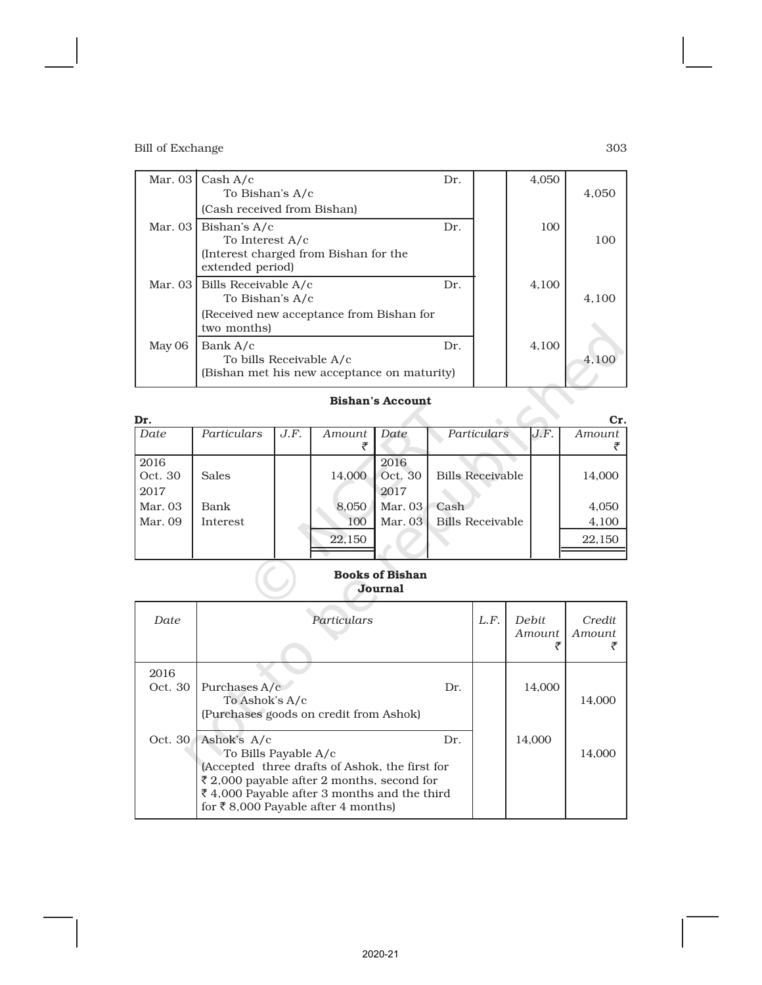|        | Mar. 03 $\vert$ Cash A/c<br>To Bishan's A/c<br>(Cash received from Bishan)                               | Dr. | 4,050 | 4,050 |
|--------|----------------------------------------------------------------------------------------------------------|-----|-------|-------|
|        | Mar. 03   Bishan's $A/c$<br>To Interest A/c<br>(Interest charged from Bishan for the<br>extended period) | Dr. | 100   | 100   |
|        | Mar. 03   Bills Receivable A/c<br>To Bishan's A/c                                                        | Dr. | 4,100 | 4.100 |
|        | (Received new acceptance from Bishan for<br>two months)                                                  |     |       |       |
| May 06 | Bank A/c<br>To bills Receivable A/c<br>(Bishan met his new acceptance on maturity)                       | Dr. | 4,100 | 4,100 |

### Bishan's Account

| Dr.     |                 |      |        |         |                         |      | Cr.    |
|---------|-----------------|------|--------|---------|-------------------------|------|--------|
| Date    | Particulars     | J.F. | Amount | Date    | Particulars             | J.F. | Amount |
|         |                 |      |        |         |                         |      |        |
| 2016    |                 |      |        | 2016    |                         |      |        |
| Oct. 30 | <b>Sales</b>    |      | 14.000 | Oct. 30 | <b>Bills Receivable</b> |      | 14,000 |
| 2017    |                 |      |        | 2017    |                         |      |        |
| Mar. 03 | Bank            |      | 8,050  | Mar. 03 | Cash                    |      | 4,050  |
| Mar. 09 | <b>Interest</b> |      | 100    | Mar. 03 | <b>Bills Receivable</b> |      | 4,100  |
|         |                 |      | 22,150 |         |                         |      | 22,150 |
|         |                 |      |        |         |                         |      |        |

### Books of Bishan Journal

| Date    | Particulars                                                                                                                                                                                                                     | L.F. | Debit<br>Amount | Credit<br><i>Amount</i> |
|---------|---------------------------------------------------------------------------------------------------------------------------------------------------------------------------------------------------------------------------------|------|-----------------|-------------------------|
| 2016    |                                                                                                                                                                                                                                 |      |                 |                         |
| Oct. 30 | Purchases $A/c$<br>Dr.<br>To Ashok's A/c<br>(Purchases goods on credit from Ashok)                                                                                                                                              |      | 14,000          | 14,000                  |
| Oct. 30 | Ashok's A/c<br>Dr.<br>To Bills Payable A/c<br>(Accepted three drafts of Ashok, the first for<br>₹ 2,000 payable after 2 months, second for<br>₹4,000 Payable after 3 months and the third<br>for ₹8,000 Payable after 4 months) |      | 14,000          | 14.000                  |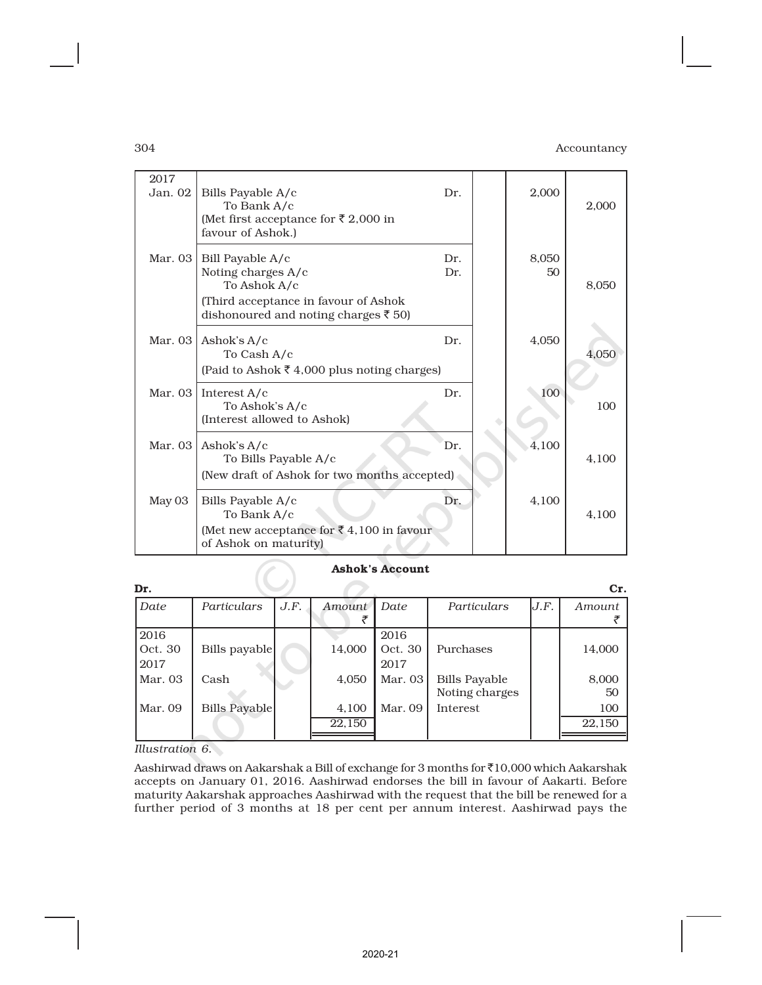| 2017<br>Jan. 02 | Bills Payable A/c<br>To Bank A/c<br>(Met first acceptance for ₹2,000 in<br>favour of Ashok.)                                                   | Dr.        | 2,000       | 2,000 |
|-----------------|------------------------------------------------------------------------------------------------------------------------------------------------|------------|-------------|-------|
| Mar. 03         | Bill Payable A/c<br>Noting charges A/c<br>To Ashok A/c<br>(Third acceptance in favour of Ashok<br>dishonoured and noting charges $\bar{5}$ 50) | Dr.<br>Dr. | 8,050<br>50 | 8,050 |
| Mar. $03$       | Ashok's A/c<br>To Cash A/c<br>(Paid to Ashok ₹ 4,000 plus noting charges)                                                                      | Dr.        | 4,050       | 4,050 |
| Mar. $03$       | Interest $A/c$<br>To Ashok's A/c<br>(Interest allowed to Ashok)                                                                                | Dr.        | 100         | 100   |
| Mar. 03         | Ashok's A/c<br>To Bills Payable A/c<br>(New draft of Ashok for two months accepted)                                                            | Dr.        | 4,100       | 4,100 |
| May 03          | Bills Payable A/c<br>To Bank A/c<br>(Met new acceptance for ₹4,100 in favour<br>of Ashok on maturity)                                          | Dr.        | 4,100       | 4,100 |

## Ashok's Account

| Dr.                     |               |      |                 |                         |                                        |      | Cr.           |
|-------------------------|---------------|------|-----------------|-------------------------|----------------------------------------|------|---------------|
| Date                    | Particulars   | J.F. | Amount          | Date                    | Particulars                            | J.F. | Amount        |
| 2016<br>Oct. 30<br>2017 | Bills payable |      | 14,000          | 2016<br>Oct. 30<br>2017 | Purchases                              |      | 14,000        |
| Mar. 03                 | Cash          |      | 4,050           | Mar. 03                 | <b>Bills Payable</b><br>Noting charges |      | 8,000<br>50   |
| Mar. 09                 | Bills Payable |      | 4,100<br>22,150 | Mar. 09                 | Interest                               |      | 100<br>22,150 |

*Illustration 6.*

Aashirwad draws on Aakarshak a Bill of exchange for 3 months for  $\bar{c}10,000$  which Aakarshak accepts on January 01, 2016. Aashirwad endorses the bill in favour of Aakarti. Before maturity Aakarshak approaches Aashirwad with the request that the bill be renewed for a further period of 3 months at 18 per cent per annum interest. Aashirwad pays the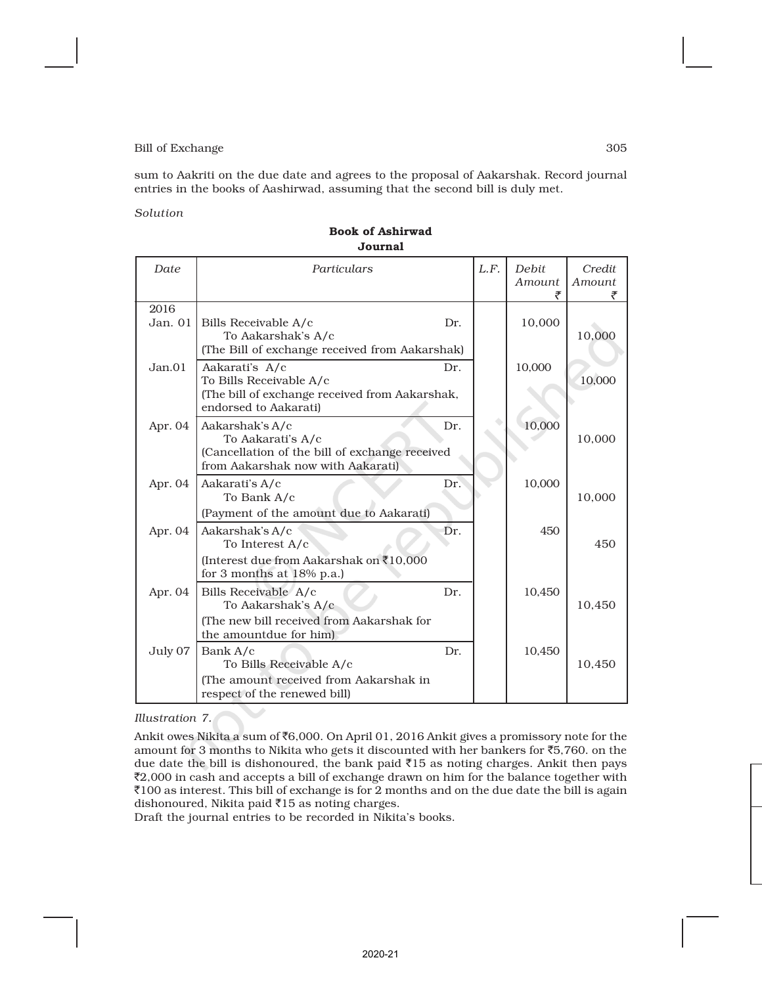sum to Aakriti on the due date and agrees to the proposal of Aakarshak. Record journal entries in the books of Aashirwad, assuming that the second bill is duly met.

#### *Solution*

| Date              | Particulars                                                                                                                 |     | L.F. | <b>Debit</b><br>Amount<br>₹ | Credit<br>Amount<br>₹ |
|-------------------|-----------------------------------------------------------------------------------------------------------------------------|-----|------|-----------------------------|-----------------------|
| 2016<br>Jan. $01$ | Bills Receivable A/c<br>To Aakarshak's A/c<br>(The Bill of exchange received from Aakarshak)                                | Dr. |      | 10,000                      | 10,000                |
| Jan.01            | Aakarati's A/c<br>To Bills Receivable A/c<br>(The bill of exchange received from Aakarshak,<br>endorsed to Aakarati)        | Dr. |      | 10,000                      | 10,000                |
| Apr. 04           | Aakarshak's A/c<br>To Aakarati's A/c<br>(Cancellation of the bill of exchange received<br>from Aakarshak now with Aakarati) | Dr. |      | 10,000                      | 10,000                |
| Apr. 04           | Aakarati's A/c<br>To Bank A/c<br>(Payment of the amount due to Aakarati)                                                    | Dr. |      | 10,000                      | 10,000                |
| Apr. 04           | Aakarshak's A/c<br>To Interest A/c<br>(Interest due from Aakarshak on ₹10,000<br>for 3 months at 18% p.a.)                  | Dr. |      | 450                         | 450                   |
| Apr. 04           | Bills Receivable A/c<br>To Aakarshak's A/c<br>(The new bill received from Aakarshak for<br>the amountdue for him)           | Dr. |      | 10,450                      | 10,450                |
| July 07           | Bank A/c<br>To Bills Receivable A/c<br>(The amount received from Aakarshak in<br>respect of the renewed bill)               | Dr. |      | 10,450                      | 10,450                |

#### Book of Ashirwad Journal

#### *Illustration 7.*

Ankit owes Nikita a sum of `6,000. On April 01, 2016 Ankit gives a promissory note for the amount for 3 months to Nikita who gets it discounted with her bankers for  $\bar{c}5,760$ . on the due date the bill is dishonoured, the bank paid  $\bar{z}$ 15 as noting charges. Ankit then pays  $\bar{z}$ 2,000 in cash and accepts a bill of exchange drawn on him for the balance together with  $\bar{\mathfrak{e}}$ 100 as interest. This bill of exchange is for 2 months and on the due date the bill is again dishonoured, Nikita paid  $\bar{z}$ 15 as noting charges.

Draft the journal entries to be recorded in Nikita's books.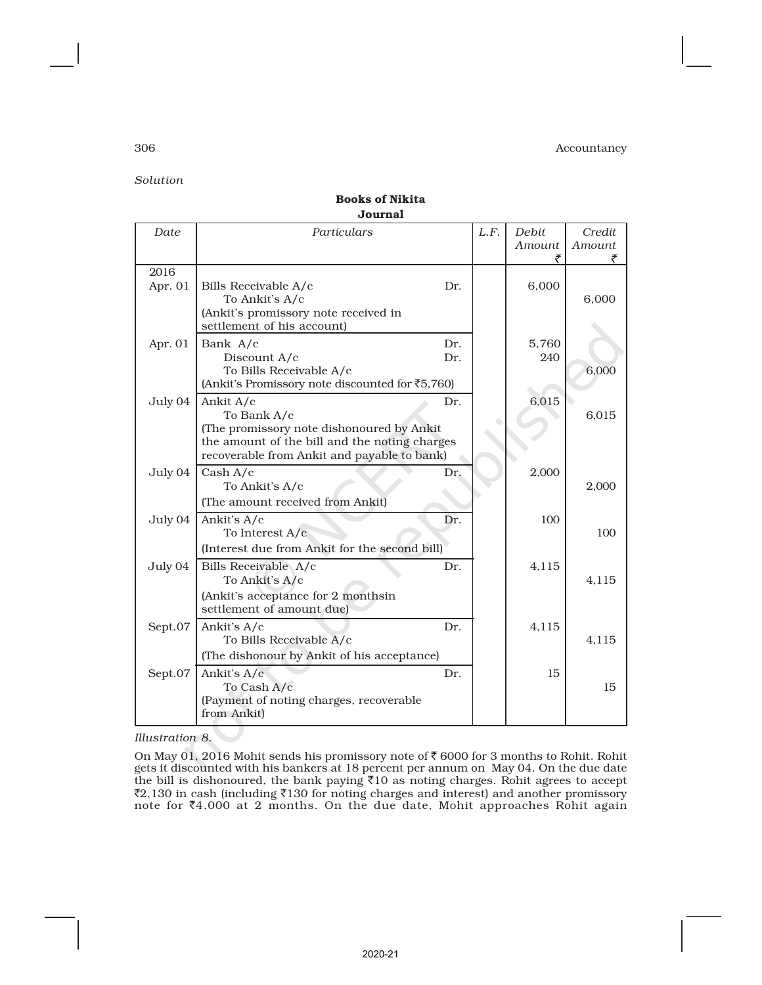*Solution*

### Books of Nikita Journal

| Date            | Particulars                                                                                                                                                           |            | L.F. | Debit<br>Amount<br>₹ | Credit<br>Amount |
|-----------------|-----------------------------------------------------------------------------------------------------------------------------------------------------------------------|------------|------|----------------------|------------------|
| 2016<br>Apr. 01 | Bills Receivable A/c<br>To Ankit's A/c<br>(Ankit's promissory note received in<br>settlement of his account)                                                          | Dr.        |      | 6,000                | 6,000            |
| Apr. 01         | Bank A/c<br>Discount A/c<br>To Bills Receivable A/c<br>(Ankit's Promissory note discounted for ₹5,760)                                                                | Dr.<br>Dr. |      | 5,760<br>240         | 6,000            |
| July 04         | Ankit A/c<br>To Bank A/c<br>(The promissory note dishonoured by Ankit<br>the amount of the bill and the noting charges<br>recoverable from Ankit and payable to bank) | Dr.        |      | 6,015                | 6,015            |
| July 04         | Cash A/c<br>To Ankit's A/c<br>(The amount received from Ankit)                                                                                                        | Dr.        |      | 2,000                | 2,000            |
| July 04         | Ankit's A/c<br>To Interest A/c<br>(Interest due from Ankit for the second bill)                                                                                       | Dr.        |      | 100                  | 100              |
| July 04         | Bills Receivable A/c<br>To Ankit's A/c<br>(Ankit's acceptance for 2 monthsin<br>settlement of amount due)                                                             | Dr.        |      | 4,115                | 4,115            |
| Sept.07         | Ankit's A/c<br>To Bills Receivable A/c<br>(The dishonour by Ankit of his acceptance)                                                                                  | Dr.        |      | 4,115                | 4,115            |
| Sept.07         | Ankit's A/c<br>To Cash A/c<br>(Payment of noting charges, recoverable<br>from Ankit)                                                                                  | Dr.        |      | 15                   | 15               |

*Illustration 8.*

On May 01, 2016 Mohit sends his promissory note of  $\bar{\tau}$  6000 for 3 months to Rohit. Rohit gets it discounted with his bankers at 18 percent per annum on May 04. On the due date<br>the bill is dishonoured, the bank paying ₹10 as noting charges. Rohit agrees to accept  $\bar{z}$ 2,130 in cash (including  $\bar{z}$ 130 for noting charges and interest) and another promissory note for `4,000 at 2 months. On the due date, Mohit approaches Rohit again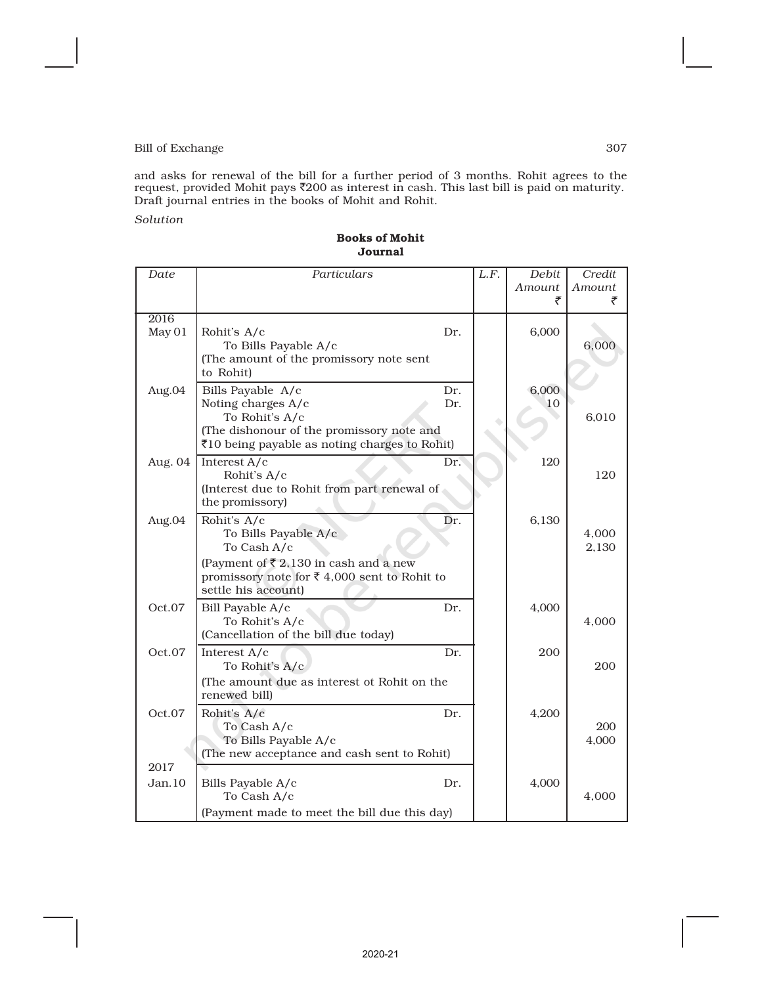and asks for renewal of the bill for a further period of 3 months. Rohit agrees to the<br>request, provided Mohit pays ₹200 as interest in cash. This last bill is paid on maturity. Draft journal entries in the books of Mohit and Rohit.

*Solution*

#### Books of Mohit Journal

| Date           | Particulars                                                                                                           | L.F. | Debit<br>Amount<br>₹ | Credit<br>Amount<br>₹ |
|----------------|-----------------------------------------------------------------------------------------------------------------------|------|----------------------|-----------------------|
| 2016           |                                                                                                                       |      |                      |                       |
| May 01         | Rohit's A/c<br>Dr.<br>To Bills Payable A/c                                                                            |      | 6,000                | 6,000                 |
|                | (The amount of the promissory note sent<br>to Rohit)                                                                  |      |                      |                       |
| Aug.04         | Bills Payable A/c<br>Dr.<br>Noting charges A/c<br>Dr.                                                                 |      | 6,000<br>10          |                       |
|                | To Rohit's A/c                                                                                                        |      |                      | 6,010                 |
|                | (The dishonour of the promissory note and<br>₹10 being payable as noting charges to Rohit)                            |      |                      |                       |
| Aug. 04        | Interest A/c<br>Dr.<br>Rohit's A/c                                                                                    |      | 120                  | 120                   |
|                | (Interest due to Rohit from part renewal of                                                                           |      |                      |                       |
|                | the promissory)                                                                                                       |      |                      |                       |
| Aug.04         | Rohit's A/c<br>Dr.<br>To Bills Payable A/c                                                                            |      | 6,130                | 4,000                 |
|                | To Cash A/c                                                                                                           |      |                      | 2,130                 |
|                | (Payment of $\bar{\xi}$ 2,130 in cash and a new<br>promissory note for ₹4,000 sent to Rohit to<br>settle his account) |      |                      |                       |
| Oct.07         | Dr.<br>Bill Payable A/c                                                                                               |      | 4,000                |                       |
|                | To Rohit's A/c<br>(Cancellation of the bill due today)                                                                |      |                      | 4,000                 |
| Oct.07         | Interest A/c<br>Dr.                                                                                                   |      | 200                  |                       |
|                | To Rohit's A/c<br>(The amount due as interest ot Rohit on the                                                         |      |                      | 200                   |
|                | renewed bill)                                                                                                         |      |                      |                       |
| Oct.07         | Rohit's A/c<br>Dr.                                                                                                    |      | 4,200                |                       |
|                | To Cash A/c<br>To Bills Payable A/c                                                                                   |      |                      | 200<br>4,000          |
|                | (The new acceptance and cash sent to Rohit)                                                                           |      |                      |                       |
| 2017<br>Jan.10 | Bills Payable A/c<br>Dr.                                                                                              |      | 4,000                |                       |
|                | To Cash A/c                                                                                                           |      |                      | 4.000                 |
|                | (Payment made to meet the bill due this day)                                                                          |      |                      |                       |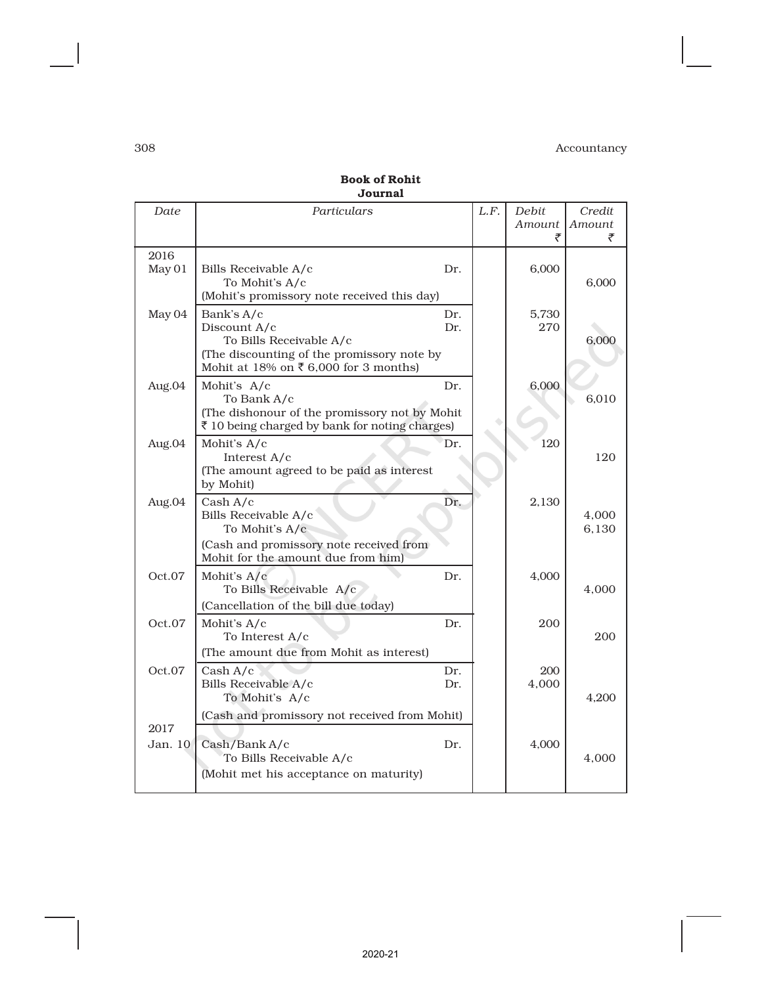| Date            | Particulars                                                                                                                                 |            | L.F. | Debit<br>Amount<br>₹ | Credit<br>Amount |
|-----------------|---------------------------------------------------------------------------------------------------------------------------------------------|------------|------|----------------------|------------------|
| 2016<br>May 01  | Bills Receivable A/c<br>To Mohit's A/c<br>(Mohit's promissory note received this day)                                                       | Dr.        |      | 6,000                | 6,000            |
| May 04          | Bank's A/c<br>Discount A/c<br>To Bills Receivable A/c<br>(The discounting of the promissory note by<br>Mohit at 18% on ₹6,000 for 3 months) | Dr.<br>Dr. |      | 5.730<br>270         | 6,000            |
| Aug.04          | Mohit's A/c<br>To Bank A/c<br>(The dishonour of the promissory not by Mohit<br>₹ 10 being charged by bank for noting charges)               | Dr.        |      | 6,000                | 6.010            |
| Aug.04          | Mohit's A/c<br>Interest A/c<br>(The amount agreed to be paid as interest<br>by Mohit)                                                       | Dr.        |      | 120                  | 120              |
| Aug.04          | Cash A/c<br>Bills Receivable A/c<br>To Mohit's A/c<br>(Cash and promissory note received from<br>Mohit for the amount due from him)         | Dr.        |      | 2,130                | 4,000<br>6,130   |
| Oct.07          | Mohit's A/c<br>To Bills Receivable A/c<br>(Cancellation of the bill due today)                                                              | Dr.        |      | 4,000                | 4.000            |
| Oct.07          | Mohit's A/c<br>To Interest A/c<br>(The amount due from Mohit as interest)                                                                   | Dr.        |      | 200                  | 200              |
| Oct.07          | Cash A/c<br>Bills Receivable A/c<br>To Mohit's A/c                                                                                          | Dr.<br>Dr. |      | 200<br>4,000         | 4,200            |
| 2017<br>Jan. 10 | (Cash and promissory not received from Mohit)<br>Cash/Bank A/c<br>To Bills Receivable A/c                                                   | Dr.        |      | 4,000                | 4,000            |
|                 | (Mohit met his acceptance on maturity)                                                                                                      |            |      |                      |                  |

Book of Rohit Journal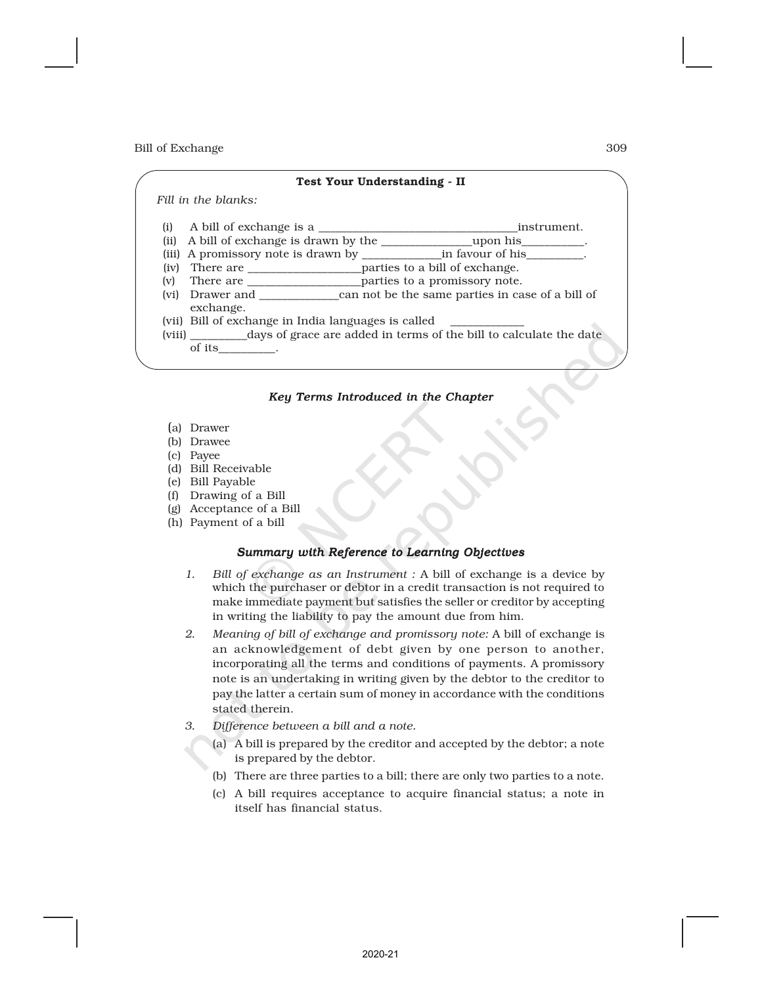# Test Your Understanding - II

 *Fill in the blanks:*

- (i) A bill of exchange is a \_\_\_\_\_\_\_\_\_\_\_\_\_\_\_\_\_\_\_\_\_\_\_\_\_\_\_\_\_\_\_\_\_\_\_instrument.
- (ii) A bill of exchange is drawn by the \_\_\_\_\_\_\_\_\_\_\_\_\_\_\_\_upon his\_\_\_\_\_\_\_\_\_\_\_.
- (iii) A promissory note is drawn by \_\_\_\_\_\_\_\_\_\_\_\_\_\_in favour of his\_\_\_\_\_\_\_\_\_\_.
- (iv) There are \_\_\_\_\_\_\_\_\_\_\_\_\_\_\_\_\_\_\_\_parties to a bill of exchange.
- (v) There are \_\_\_\_\_\_\_\_\_\_\_\_\_\_\_\_\_\_\_\_parties to a promissory note. (vi) Drawer and \_\_\_\_\_\_\_\_\_\_\_\_\_\_can not be the same parties in case of a bill of exchange.
- (vii) Bill of exchange in India languages is called
- (viii) \_\_\_\_\_\_\_\_\_\_days of grace are added in terms of the bill to calculate the date of its\_\_\_\_\_\_\_\_\_\_.

### *Key Terms Introduced in the Chapter*

- (a) Drawer
- (b) Drawee
- (c) Payee
- (d) Bill Receivable
- (e) Bill Payable
- (f) Drawing of a Bill
- (g) Acceptance of a Bill
- (h) Payment of a bill

### *Summary with Reference to Learning Objectives*

- *1. Bill of exchange as an Instrument :* A bill of exchange is a device by which the purchaser or debtor in a credit transaction is not required to make immediate payment but satisfies the seller or creditor by accepting in writing the liability to pay the amount due from him.
- *2. Meaning of bill of exchange and promissory note:* A bill of exchange is an acknowledgement of debt given by one person to another, incorporating all the terms and conditions of payments. A promissory note is an undertaking in writing given by the debtor to the creditor to pay the latter a certain sum of money in accordance with the conditions stated therein.
- *3. Difference between a bill and a note.*
	- (a) A bill is prepared by the creditor and accepted by the debtor; a note is prepared by the debtor.
	- (b) There are three parties to a bill; there are only two parties to a note.
	- (c) A bill requires acceptance to acquire financial status; a note in itself has financial status.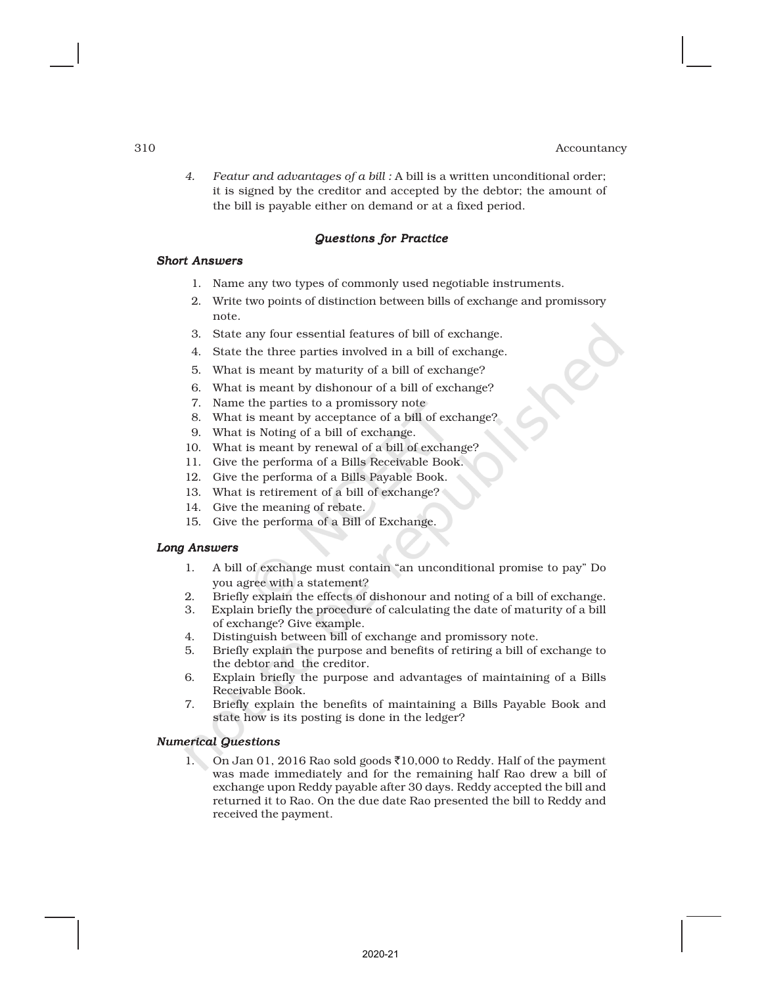*4. Featur and advantages of a bill :* A bill is a written unconditional order; it is signed by the creditor and accepted by the debtor; the amount of the bill is payable either on demand or at a fixed period.

#### *Questions for Practice*

#### *Short Answers*

- 1. Name any two types of commonly used negotiable instruments.
- 2. Write two points of distinction between bills of exchange and promissory note.
- 3. State any four essential features of bill of exchange.
- 4. State the three parties involved in a bill of exchange.
- 5. What is meant by maturity of a bill of exchange?
- 6. What is meant by dishonour of a bill of exchange?
- 7. Name the parties to a promissory note
- 8. What is meant by acceptance of a bill of exchange?
- 9. What is Noting of a bill of exchange.
- 10. What is meant by renewal of a bill of exchange?
- 11. Give the performa of a Bills Receivable Book.
- 12. Give the performa of a Bills Payable Book.
- 13. What is retirement of a bill of exchange?
- 14. Give the meaning of rebate.
- 15. Give the performa of a Bill of Exchange.

#### *Long Answers*

- 1. A bill of exchange must contain "an unconditional promise to pay" Do you agree with a statement?
- 2. Briefly explain the effects of dishonour and noting of a bill of exchange.
- 3. Explain briefly the procedure of calculating the date of maturity of a bill of exchange? Give example.
- 4. Distinguish between bill of exchange and promissory note.
- 5. Briefly explain the purpose and benefits of retiring a bill of exchange to the debtor and the creditor.
- 6. Explain briefly the purpose and advantages of maintaining of a Bills Receivable Book.
- 7. Briefly explain the benefits of maintaining a Bills Payable Book and state how is its posting is done in the ledger?

#### *Numerical Questions*

1. On Jan 01, 2016 Rao sold goods  $\text{\textdegree{10}}$ ,000 to Reddy. Half of the payment was made immediately and for the remaining half Rao drew a bill of exchange upon Reddy payable after 30 days. Reddy accepted the bill and returned it to Rao. On the due date Rao presented the bill to Reddy and received the payment.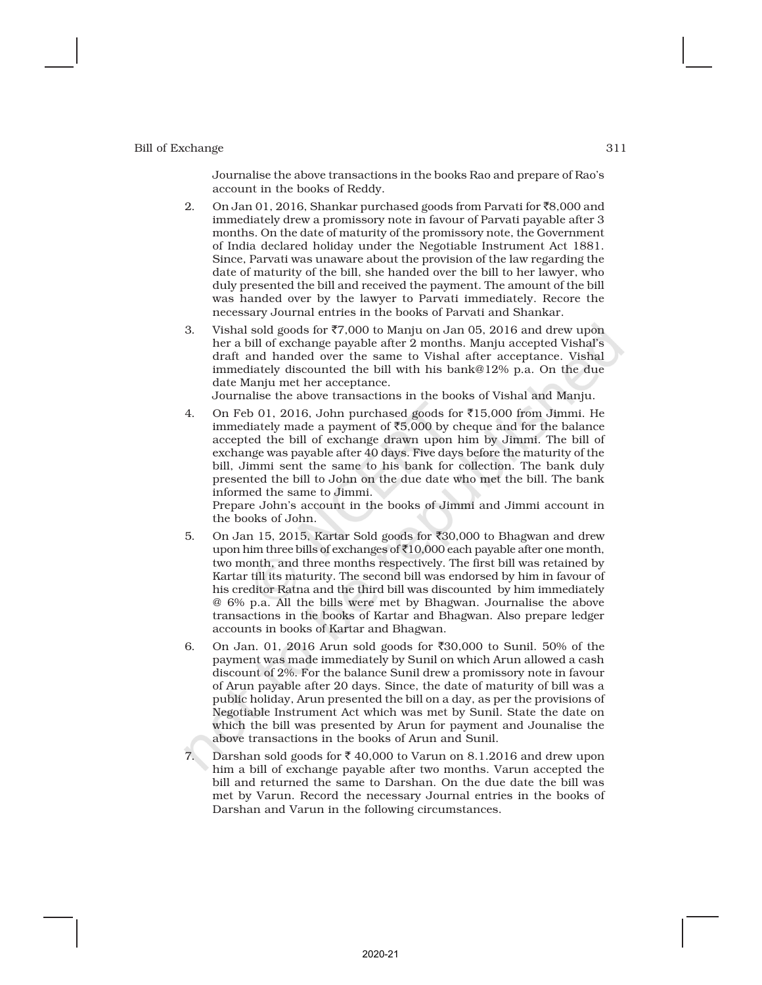Journalise the above transactions in the books Rao and prepare of Rao's account in the books of Reddy.

- 2. On Jan 01, 2016, Shankar purchased goods from Parvati for  $\bar{8}8,000$  and immediately drew a promissory note in favour of Parvati payable after 3 months. On the date of maturity of the promissory note, the Government of India declared holiday under the Negotiable Instrument Act 1881. Since, Parvati was unaware about the provision of the law regarding the date of maturity of the bill, she handed over the bill to her lawyer, who duly presented the bill and received the payment. The amount of the bill was handed over by the lawyer to Parvati immediately. Recore the necessary Journal entries in the books of Parvati and Shankar.
- 3. Vishal sold goods for  $\overline{57,000}$  to Manju on Jan 05, 2016 and drew upon her a bill of exchange payable after 2 months. Manju accepted Vishal's draft and handed over the same to Vishal after acceptance. Vishal immediately discounted the bill with his bank@12% p.a. On the due date Manju met her acceptance.

Journalise the above transactions in the books of Vishal and Manju.

4. On Feb 01, 2016, John purchased goods for  $\bar{\tau}15,000$  from Jimmi. He immediately made a payment of  $\bar{5}5,000$  by cheque and for the balance accepted the bill of exchange drawn upon him by Jimmi. The bill of exchange was payable after 40 days. Five days before the maturity of the bill, Jimmi sent the same to his bank for collection. The bank duly presented the bill to John on the due date who met the bill. The bank informed the same to Jimmi.

Prepare John's account in the books of Jimmi and Jimmi account in the books of John.

- 5. On Jan 15, 2015, Kartar Sold goods for  $\text{\textdegree}30,000$  to Bhagwan and drew upon him three bills of exchanges of  $\bar{x}$ 10,000 each payable after one month, two month, and three months respectively. The first bill was retained by Kartar till its maturity. The second bill was endorsed by him in favour of his creditor Ratna and the third bill was discounted by him immediately @ 6% p.a. All the bills were met by Bhagwan. Journalise the above transactions in the books of Kartar and Bhagwan. Also prepare ledger accounts in books of Kartar and Bhagwan.
- 6. On Jan. 01, 2016 Arun sold goods for  $\overline{30,000}$  to Sunil. 50% of the payment was made immediately by Sunil on which Arun allowed a cash discount of 2%. For the balance Sunil drew a promissory note in favour of Arun payable after 20 days. Since, the date of maturity of bill was a public holiday, Arun presented the bill on a day, as per the provisions of Negotiable Instrument Act which was met by Sunil. State the date on which the bill was presented by Arun for payment and Jounalise the above transactions in the books of Arun and Sunil.
- 7. Darshan sold goods for  $\bar{\tau}$  40,000 to Varun on 8.1.2016 and drew upon him a bill of exchange payable after two months. Varun accepted the bill and returned the same to Darshan. On the due date the bill was met by Varun. Record the necessary Journal entries in the books of Darshan and Varun in the following circumstances.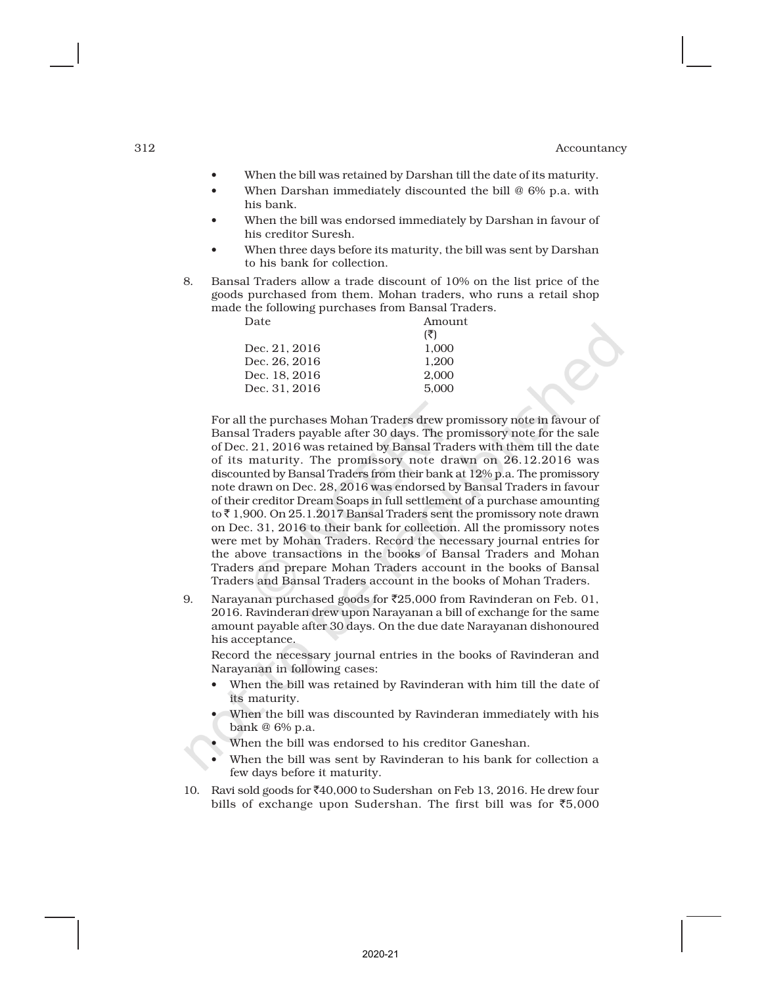- When the bill was retained by Darshan till the date of its maturity.
- When Darshan immediately discounted the bill @ 6% p.a. with his bank.
- When the bill was endorsed immediately by Darshan in favour of his creditor Suresh.
- When three days before its maturity, the bill was sent by Darshan to his bank for collection.
- 8. Bansal Traders allow a trade discount of 10% on the list price of the goods purchased from them. Mohan traders, who runs a retail shop made the following purchases from Bansal Traders.

| Date          | Amount |
|---------------|--------|
|               | (3)    |
| Dec. 21, 2016 | 1.000  |
| Dec. 26, 2016 | 1.200  |
| Dec. 18. 2016 | 2.000  |
| Dec. 31. 2016 | 5.000  |
|               |        |

For all the purchases Mohan Traders drew promissory note in favour of Bansal Traders payable after 30 days. The promissory note for the sale of Dec. 21, 2016 was retained by Bansal Traders with them till the date of its maturity. The promissory note drawn on 26.12.2016 was discounted by Bansal Traders from their bank at 12% p.a. The promissory note drawn on Dec. 28, 2016 was endorsed by Bansal Traders in favour of their creditor Dream Soaps in full settlement of a purchase amounting to ₹1,900. On 25.1.2017 Bansal Traders sent the promissory note drawn on Dec. 31, 2016 to their bank for collection. All the promissory notes were met by Mohan Traders. Record the necessary journal entries for the above transactions in the books of Bansal Traders and Mohan Traders and prepare Mohan Traders account in the books of Bansal Traders and Bansal Traders account in the books of Mohan Traders.

9. Narayanan purchased goods for  $z$ 25,000 from Ravinderan on Feb. 01, 2016. Ravinderan drew upon Narayanan a bill of exchange for the same amount payable after 30 days. On the due date Narayanan dishonoured his acceptance.

Record the necessary journal entries in the books of Ravinderan and Narayanan in following cases:

- When the bill was retained by Ravinderan with him till the date of its maturity.
- When the bill was discounted by Ravinderan immediately with his bank @ 6% p.a.
- When the bill was endorsed to his creditor Ganeshan.
- When the bill was sent by Ravinderan to his bank for collection a few days before it maturity.
- 10. Ravi sold goods for  $\text{\textoverline{440}}$ ,000 to Sudershan on Feb 13, 2016. He drew four bills of exchange upon Sudershan. The first bill was for  $\overline{5,000}$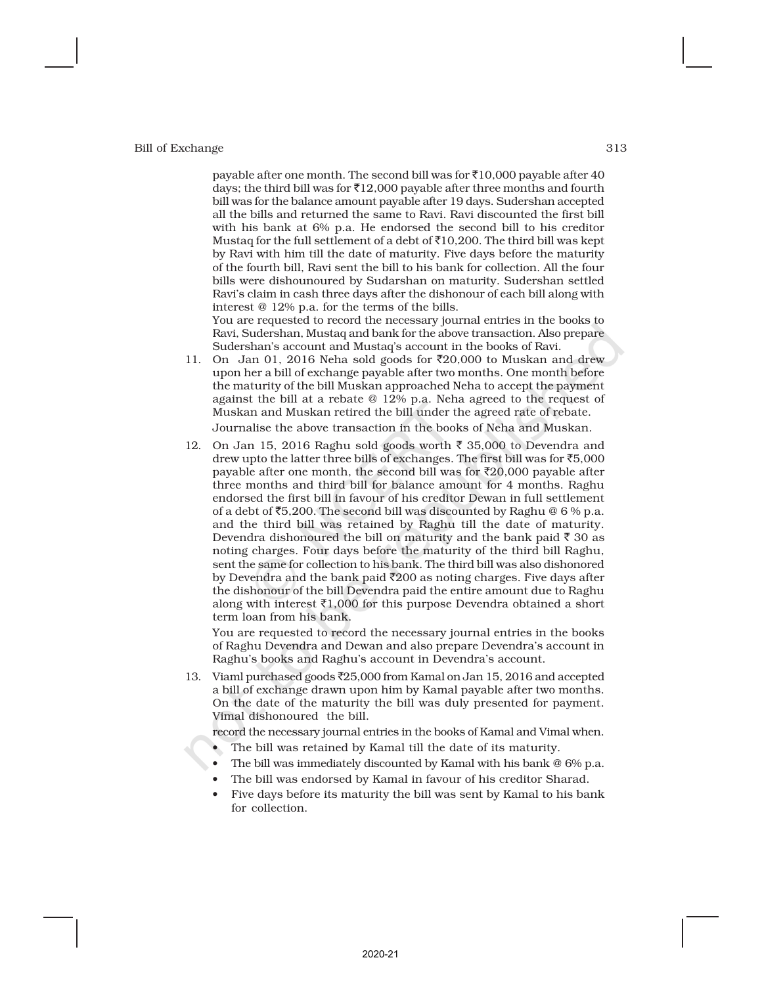payable after one month. The second bill was for  $\bar{\bar{\tau}}$ 10,000 payable after 40 days; the third bill was for  $\bar{x}$ 12,000 payable after three months and fourth bill was for the balance amount payable after 19 days. Sudershan accepted all the bills and returned the same to Ravi. Ravi discounted the first bill with his bank at 6% p.a. He endorsed the second bill to his creditor Mustaq for the full settlement of a debt of  $\bar{\tau}$ 10,200. The third bill was kept by Ravi with him till the date of maturity. Five days before the maturity of the fourth bill, Ravi sent the bill to his bank for collection. All the four bills were dishounoured by Sudarshan on maturity. Sudershan settled Ravi's claim in cash three days after the dishonour of each bill along with interest @ 12% p.a. for the terms of the bills.

You are requested to record the necessary journal entries in the books to Ravi, Sudershan, Mustaq and bank for the above transaction. Also prepare Sudershan's account and Mustaq's account in the books of Ravi.

- 11. On Jan 01, 2016 Neha sold goods for  $\overline{20,000}$  to Muskan and drew upon her a bill of exchange payable after two months. One month before the maturity of the bill Muskan approached Neha to accept the payment against the bill at a rebate @ 12% p.a. Neha agreed to the request of Muskan and Muskan retired the bill under the agreed rate of rebate. Journalise the above transaction in the books of Neha and Muskan.
- 12. On Jan 15, 2016 Raghu sold goods worth  $\bar{\tau}$  35,000 to Devendra and drew upto the latter three bills of exchanges. The first bill was for  $\overline{5}5,000$ payable after one month, the second bill was for  $\bar{\mathfrak{c}}20,000$  payable after three months and third bill for balance amount for 4 months. Raghu endorsed the first bill in favour of his creditor Dewan in full settlement of a debt of  $\texttt{\{5,200.}}$  The second bill was discounted by Raghu @ 6 % p.a. and the third bill was retained by Raghu till the date of maturity. Devendra dishonoured the bill on maturity and the bank paid  $\bar{\tau}$  30 as noting charges. Four days before the maturity of the third bill Raghu, sent the same for collection to his bank. The third bill was also dishonored by Devendra and the bank paid  $\bar{\mathfrak{Z}}200$  as noting charges. Five days after the dishonour of the bill Devendra paid the entire amount due to Raghu along with interest  $\bar{\tau}1,000$  for this purpose Devendra obtained a short term loan from his bank.

You are requested to record the necessary journal entries in the books of Raghu Devendra and Dewan and also prepare Devendra's account in Raghu's books and Raghu's account in Devendra's account.

13. Viaml purchased goods ₹25,000 from Kamal on Jan 15, 2016 and accepted a bill of exchange drawn upon him by Kamal payable after two months. On the date of the maturity the bill was duly presented for payment. Vimal dishonoured the bill.

record the necessary journal entries in the books of Kamal and Vimal when.

- The bill was retained by Kamal till the date of its maturity.
- The bill was immediately discounted by Kamal with his bank @ 6% p.a.
- The bill was endorsed by Kamal in favour of his creditor Sharad.
- Five days before its maturity the bill was sent by Kamal to his bank for collection.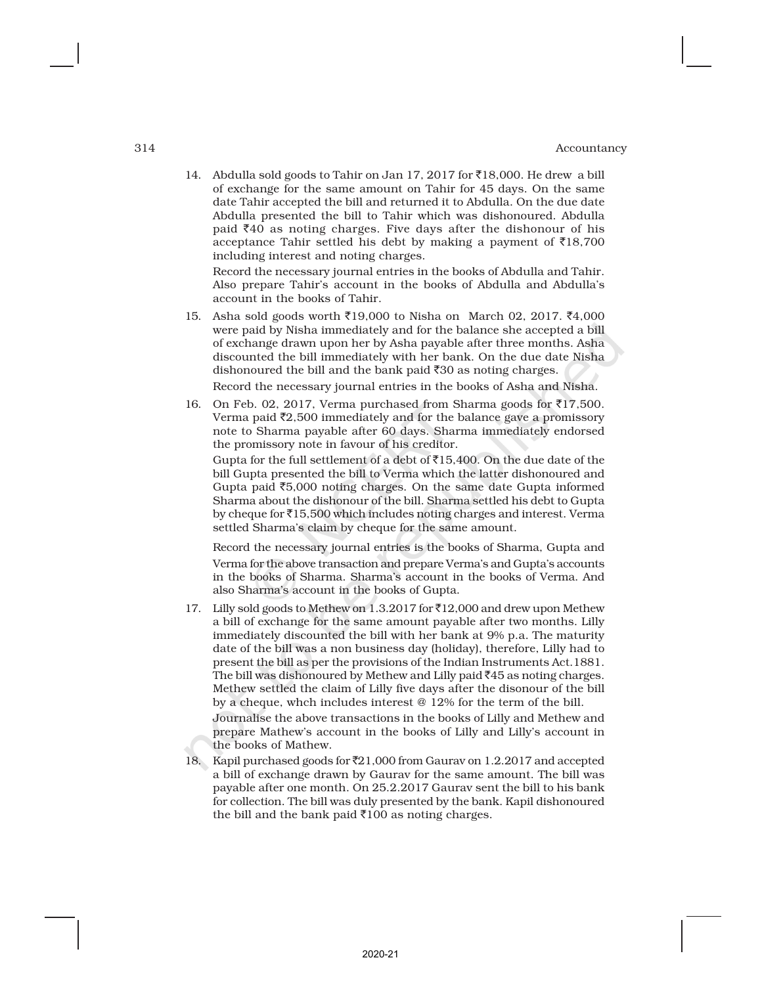14. Abdulla sold goods to Tahir on Jan 17, 2017 for ₹18,000. He drew a bill of exchange for the same amount on Tahir for 45 days. On the same date Tahir accepted the bill and returned it to Abdulla. On the due date Abdulla presented the bill to Tahir which was dishonoured. Abdulla paid  $\bar{z}40$  as noting charges. Five days after the dishonour of his acceptance Tahir settled his debt by making a payment of  $\bar{z}18,700$ including interest and noting charges.

Record the necessary journal entries in the books of Abdulla and Tahir. Also prepare Tahir's account in the books of Abdulla and Abdulla's account in the books of Tahir.

15. Asha sold goods worth ₹19,000 to Nisha on March 02, 2017. ₹4,000 were paid by Nisha immediately and for the balance she accepted a bill of exchange drawn upon her by Asha payable after three months. Asha discounted the bill immediately with her bank. On the due date Nisha dishonoured the bill and the bank paid  $\overline{3}0$  as noting charges. Record the necessary journal entries in the books of Asha and Nisha.

16. On Feb. 02, 2017, Verma purchased from Sharma goods for  $\overline{517,500}$ . Verma paid  $\bar{z}$ 2,500 immediately and for the balance gave a promissory note to Sharma payable after 60 days. Sharma immediately endorsed the promissory note in favour of his creditor.

Gupta for the full settlement of a debt of  $\bar{5}15,400$ . On the due date of the bill Gupta presented the bill to Verma which the latter dishonoured and Gupta paid  $\overline{5,000}$  noting charges. On the same date Gupta informed Sharma about the dishonour of the bill. Sharma settled his debt to Gupta by cheque for  $\bar{\bar{\tau}}$ 15,500 which includes noting charges and interest. Verma settled Sharma's claim by cheque for the same amount.

Record the necessary journal entries is the books of Sharma, Gupta and Verma for the above transaction and prepare Verma's and Gupta's accounts in the books of Sharma. Sharma's account in the books of Verma. And also Sharma's account in the books of Gupta.

17. Lilly sold goods to Methew on 1.3.2017 for  $\bar{2}12,000$  and drew upon Methew a bill of exchange for the same amount payable after two months. Lilly immediately discounted the bill with her bank at 9% p.a. The maturity date of the bill was a non business day (holiday), therefore, Lilly had to present the bill as per the provisions of the Indian Instruments Act.1881. The bill was dishonoured by Methew and Lilly paid  $\bar{z}45$  as noting charges. Methew settled the claim of Lilly five days after the disonour of the bill by a cheque, whch includes interest @ 12% for the term of the bill.

Journalise the above transactions in the books of Lilly and Methew and prepare Mathew's account in the books of Lilly and Lilly's account in the books of Mathew.

18. Kapil purchased goods for ₹21,000 from Gaurav on 1.2.2017 and accepted a bill of exchange drawn by Gaurav for the same amount. The bill was payable after one month. On 25.2.2017 Gaurav sent the bill to his bank for collection. The bill was duly presented by the bank. Kapil dishonoured the bill and the bank paid  $\overline{3}100$  as noting charges.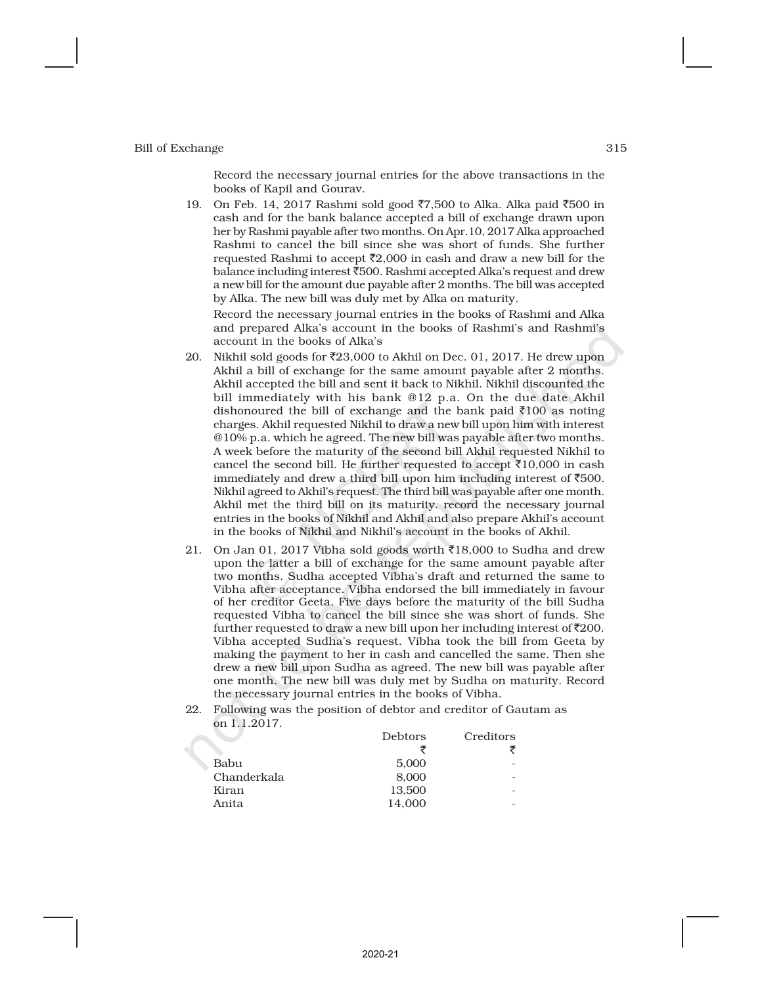Record the necessary journal entries for the above transactions in the books of Kapil and Gourav.

19. On Feb. 14, 2017 Rashmi sold good ₹7,500 to Alka. Alka paid ₹500 in cash and for the bank balance accepted a bill of exchange drawn upon her by Rashmi payable after two months. On Apr.10, 2017 Alka approached Rashmi to cancel the bill since she was short of funds. She further requested Rashmi to accept  $\bar{\mathfrak{Z}}2,000$  in cash and draw a new bill for the balance including interest `500. Rashmi accepted Alka's request and drew a new bill for the amount due payable after 2 months. The bill was accepted by Alka. The new bill was duly met by Alka on maturity.

Record the necessary journal entries in the books of Rashmi and Alka and prepared Alka's account in the books of Rashmi's and Rashmi's account in the books of Alka's

- 20. Nikhil sold goods for  $\overline{23,000}$  to Akhil on Dec. 01, 2017. He drew upon Akhil a bill of exchange for the same amount payable after 2 months. Akhil accepted the bill and sent it back to Nikhil. Nikhil discounted the bill immediately with his bank @12 p.a. On the due date Akhil dishonoured the bill of exchange and the bank paid  $\bar{\bar{\mathfrak{c}}}$  100 as noting charges. Akhil requested Nikhil to draw a new bill upon him with interest @10% p.a. which he agreed. The new bill was payable after two months. A week before the maturity of the second bill Akhil requested Nikhil to cancel the second bill. He further requested to accept  $\bar{\tau}10,000$  in cash immediately and drew a third bill upon him including interest of  $\overline{500}$ . Nikhil agreed to Akhil's request. The third bill was payable after one month. Akhil met the third bill on its maturity. record the necessary journal entries in the books of Nikhil and Akhil and also prepare Akhil's account in the books of Nikhil and Nikhil's account in the books of Akhil.
- 21. On Jan 01, 2017 Vibha sold goods worth  $\bar{\mathfrak{e}}$ 18,000 to Sudha and drew upon the latter a bill of exchange for the same amount payable after two months. Sudha accepted Vibha's draft and returned the same to Vibha after acceptance. Vibha endorsed the bill immediately in favour of her creditor Geeta. Five days before the maturity of the bill Sudha requested Vibha to cancel the bill since she was short of funds. She further requested to draw a new bill upon her including interest of  $\bar{\tau}200$ . Vibha accepted Sudha's request. Vibha took the bill from Geeta by making the payment to her in cash and cancelled the same. Then she drew a new bill upon Sudha as agreed. The new bill was payable after one month. The new bill was duly met by Sudha on maturity. Record the necessary journal entries in the books of Vibha.
- 22. Following was the position of debtor and creditor of Gautam as on 1.1.2017.

| Debtors | Creditors |
|---------|-----------|
|         |           |
| 5.000   |           |
| 8.000   | -         |
| 13.500  |           |
| 14.000  |           |
|         |           |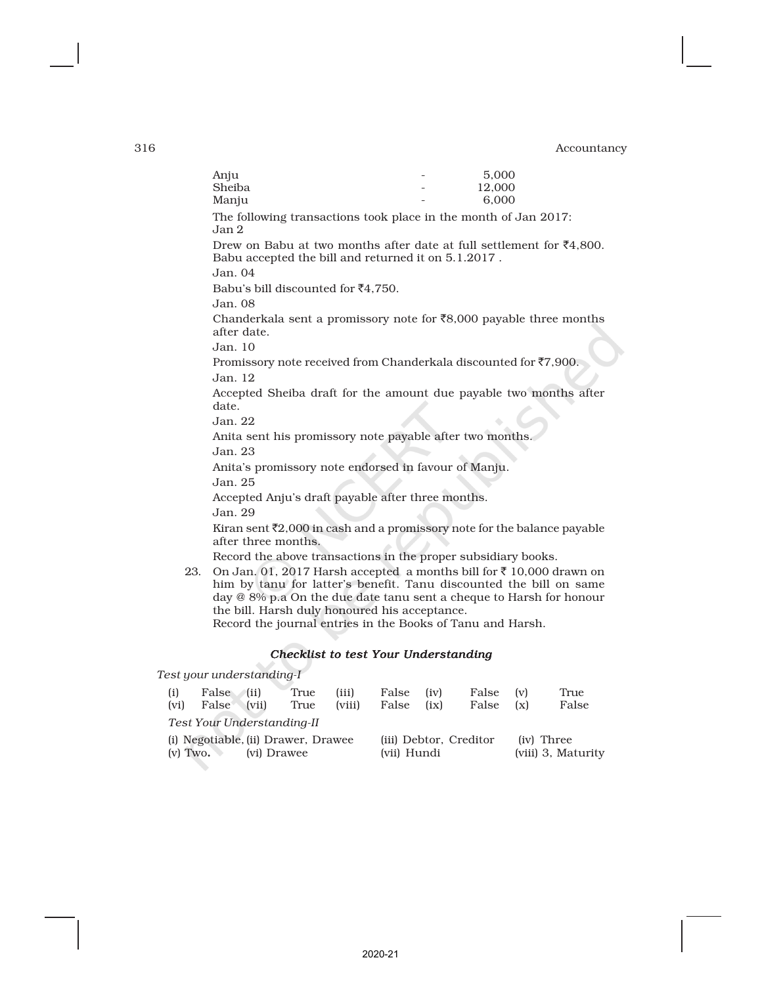|     | Anju                                                                                                                                                                                                                                                                                                                               |  | 5.000  |  |  |  |  |
|-----|------------------------------------------------------------------------------------------------------------------------------------------------------------------------------------------------------------------------------------------------------------------------------------------------------------------------------------|--|--------|--|--|--|--|
|     | Sheiba                                                                                                                                                                                                                                                                                                                             |  | 12,000 |  |  |  |  |
|     | Manju                                                                                                                                                                                                                                                                                                                              |  | 6.000  |  |  |  |  |
|     | The following transactions took place in the month of Jan 2017:<br>Jan <sub>2</sub>                                                                                                                                                                                                                                                |  |        |  |  |  |  |
|     | Drew on Babu at two months after date at full settlement for $\bar{\xi}4,800$ .<br>Babu accepted the bill and returned it on 5.1.2017.                                                                                                                                                                                             |  |        |  |  |  |  |
|     | Jan.04                                                                                                                                                                                                                                                                                                                             |  |        |  |  |  |  |
|     | Babu's bill discounted for $\bar{c}4,750$ .                                                                                                                                                                                                                                                                                        |  |        |  |  |  |  |
|     | Jan.08                                                                                                                                                                                                                                                                                                                             |  |        |  |  |  |  |
|     | Chanderkala sent a promissory note for $\bar{\xi}8,000$ payable three months<br>after date.                                                                                                                                                                                                                                        |  |        |  |  |  |  |
|     | Jan.10                                                                                                                                                                                                                                                                                                                             |  |        |  |  |  |  |
|     | Promissory note received from Chanderkala discounted for $\overline{z}$ 7,900.                                                                                                                                                                                                                                                     |  |        |  |  |  |  |
|     | Jan.12                                                                                                                                                                                                                                                                                                                             |  |        |  |  |  |  |
|     | Accepted Sheiba draft for the amount due payable two months after<br>date.                                                                                                                                                                                                                                                         |  |        |  |  |  |  |
|     | Jan.22                                                                                                                                                                                                                                                                                                                             |  |        |  |  |  |  |
|     | Anita sent his promissory note payable after two months.<br>Jan. 23                                                                                                                                                                                                                                                                |  |        |  |  |  |  |
|     | Anita's promissory note endorsed in favour of Manju.<br>Jan. 25                                                                                                                                                                                                                                                                    |  |        |  |  |  |  |
|     | Accepted Anju's draft payable after three months.                                                                                                                                                                                                                                                                                  |  |        |  |  |  |  |
|     | Jan. 29                                                                                                                                                                                                                                                                                                                            |  |        |  |  |  |  |
|     | Kiran sent $\bar{\tau}2,000$ in cash and a promissory note for the balance payable<br>after three months.                                                                                                                                                                                                                          |  |        |  |  |  |  |
|     | Record the above transactions in the proper subsidiary books.                                                                                                                                                                                                                                                                      |  |        |  |  |  |  |
| 23. | On Jan. 01, 2017 Harsh accepted a months bill for ₹ 10,000 drawn on<br>him by tanu for latter's benefit. Tanu discounted the bill on same<br>day $@ 8\%$ p.a On the due date tanu sent a cheque to Harsh for honour<br>the bill. Harsh duly honoured his acceptance.<br>Record the journal entries in the Books of Tanu and Harsh. |  |        |  |  |  |  |
|     |                                                                                                                                                                                                                                                                                                                                    |  |        |  |  |  |  |

## *Checklist to test Your Understanding*

*Test your understanding-I*

| (i)<br>(vi)                                                      | False (ii)<br>False (vii) | True<br>True | (iii)<br>(viii)                       | False<br>False | (iv)<br>(ix) | False (v)<br>False (x)           |  | True<br>False |
|------------------------------------------------------------------|---------------------------|--------------|---------------------------------------|----------------|--------------|----------------------------------|--|---------------|
| Test Your Understanding-II                                       |                           |              |                                       |                |              |                                  |  |               |
| (i) Negotiable, (ii) Drawer, Drawee<br>$(v)$ Two.<br>(vi) Drawee |                           |              | (iii) Debtor, Creditor<br>(vii) Hundi |                |              | (iv) Three<br>(viii) 3, Maturity |  |               |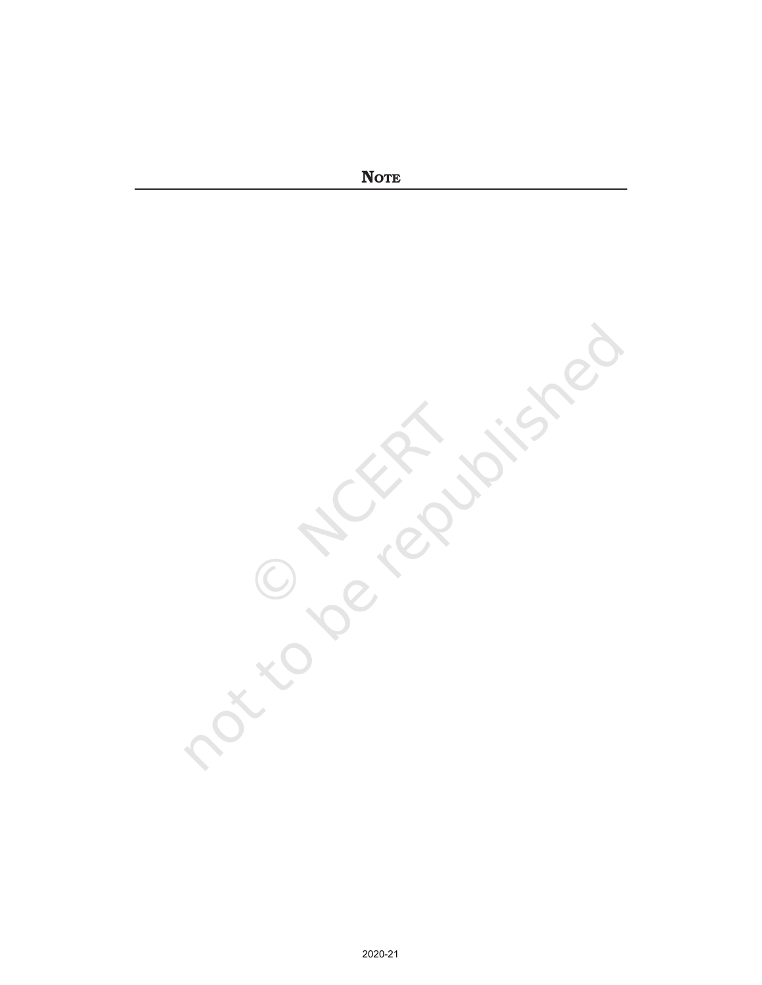